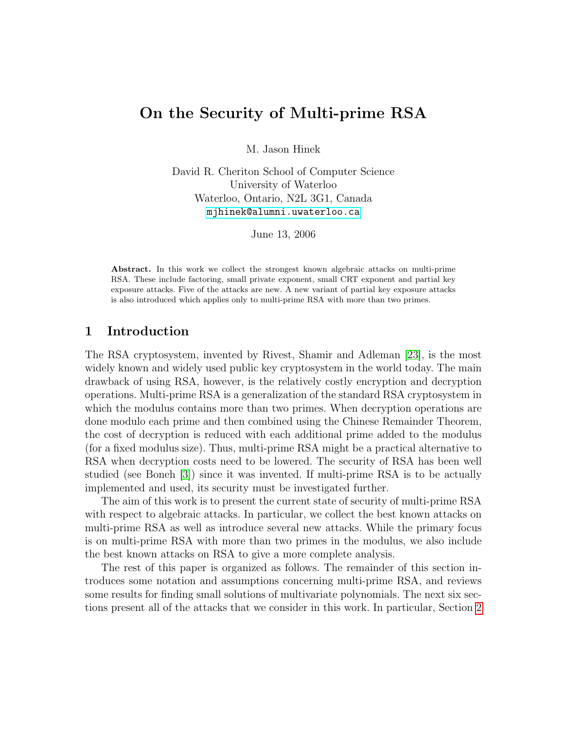# On the Security of Multi-prime RSA

M. Jason Hinek

David R. Cheriton School of Computer Science University of Waterloo Waterloo, Ontario, N2L 3G1, Canada <mjhinek@alumni.uwaterloo.ca>

June 13, 2006

Abstract. In this work we collect the strongest known algebraic attacks on multi-prime RSA. These include factoring, small private exponent, small CRT exponent and partial key exposure attacks. Five of the attacks are new. A new variant of partial key exposure attacks is also introduced which applies only to multi-prime RSA with more than two primes.

# 1 Introduction

The RSA cryptosystem, invented by Rivest, Shamir and Adleman [\[23\]](#page-32-0), is the most widely known and widely used public key cryptosystem in the world today. The main drawback of using RSA, however, is the relatively costly encryption and decryption operations. Multi-prime RSA is a generalization of the standard RSA cryptosystem in which the modulus contains more than two primes. When decryption operations are done modulo each prime and then combined using the Chinese Remainder Theorem, the cost of decryption is reduced with each additional prime added to the modulus (for a fixed modulus size). Thus, multi-prime RSA might be a practical alternative to RSA when decryption costs need to be lowered. The security of RSA has been well studied (see Boneh [\[3\]](#page-31-0)) since it was invented. If multi-prime RSA is to be actually implemented and used, its security must be investigated further.

The aim of this work is to present the current state of security of multi-prime RSA with respect to algebraic attacks. In particular, we collect the best known attacks on multi-prime RSA as well as introduce several new attacks. While the primary focus is on multi-prime RSA with more than two primes in the modulus, we also include the best known attacks on RSA to give a more complete analysis.

The rest of this paper is organized as follows. The remainder of this section introduces some notation and assumptions concerning multi-prime RSA, and reviews some results for finding small solutions of multivariate polynomials. The next six sections present all of the attacks that we consider in this work. In particular, Section [2](#page-5-0)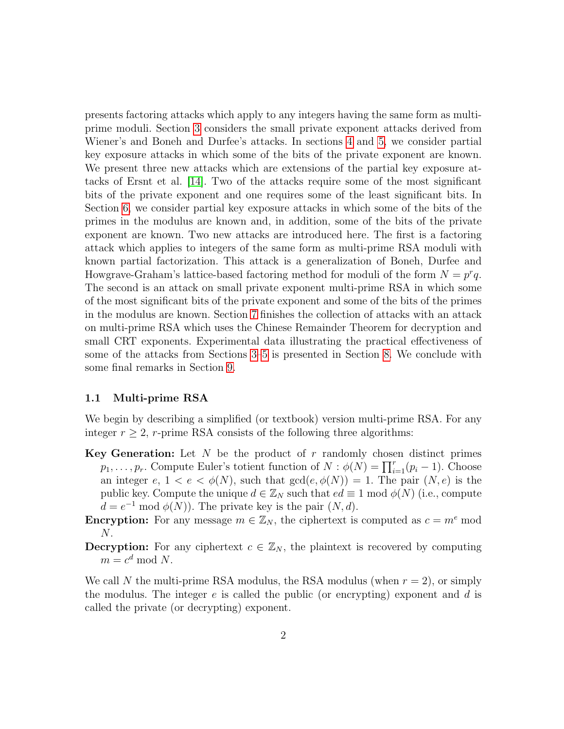presents factoring attacks which apply to any integers having the same form as multiprime moduli. Section [3](#page-6-0) considers the small private exponent attacks derived from Wiener's and Boneh and Durfee's attacks. In sections [4](#page-8-0) and [5,](#page-15-0) we consider partial key exposure attacks in which some of the bits of the private exponent are known. We present three new attacks which are extensions of the partial key exposure attacks of Ersnt et al. [\[14\]](#page-31-1). Two of the attacks require some of the most significant bits of the private exponent and one requires some of the least significant bits. In Section [6,](#page-18-0) we consider partial key exposure attacks in which some of the bits of the primes in the modulus are known and, in addition, some of the bits of the private exponent are known. Two new attacks are introduced here. The first is a factoring attack which applies to integers of the same form as multi-prime RSA moduli with known partial factorization. This attack is a generalization of Boneh, Durfee and Howgrave-Graham's lattice-based factoring method for moduli of the form  $N = p^r q$ . The second is an attack on small private exponent multi-prime RSA in which some of the most significant bits of the private exponent and some of the bits of the primes in the modulus are known. Section [7](#page-25-0) finishes the collection of attacks with an attack on multi-prime RSA which uses the Chinese Remainder Theorem for decryption and small CRT exponents. Experimental data illustrating the practical effectiveness of some of the attacks from Sections [3–](#page-6-0)[5](#page-15-0) is presented in Section [8.](#page-26-0) We conclude with some final remarks in Section [9.](#page-30-0)

#### 1.1 Multi-prime RSA

We begin by describing a simplified (or textbook) version multi-prime RSA. For any integer  $r \geq 2$ , r-prime RSA consists of the following three algorithms:

- **Key Generation:** Let N be the product of r randomly chosen distinct primes  $p_1, \ldots, p_r$ . Compute Euler's totient function of  $N : \phi(N) = \prod_{i=1}^r (p_i - 1)$ . Choose an integer  $e, 1 < e < \phi(N)$ , such that  $gcd(e, \phi(N)) = 1$ . The pair  $(N, e)$  is the public key. Compute the unique  $d \in \mathbb{Z}_N$  such that  $ed \equiv 1 \mod \phi(N)$  (i.e., compute  $d = e^{-1} \bmod \phi(N)$ . The private key is the pair  $(N, d)$ .
- **Encryption:** For any message  $m \in \mathbb{Z}_N$ , the ciphertext is computed as  $c = m^e \mod n$ N.
- **Decryption:** For any ciphertext  $c \in \mathbb{Z}_N$ , the plaintext is recovered by computing  $m = c^d \bmod N$ .

We call N the multi-prime RSA modulus, the RSA modulus (when  $r = 2$ ), or simply the modulus. The integer  $e$  is called the public (or encrypting) exponent and  $d$  is called the private (or decrypting) exponent.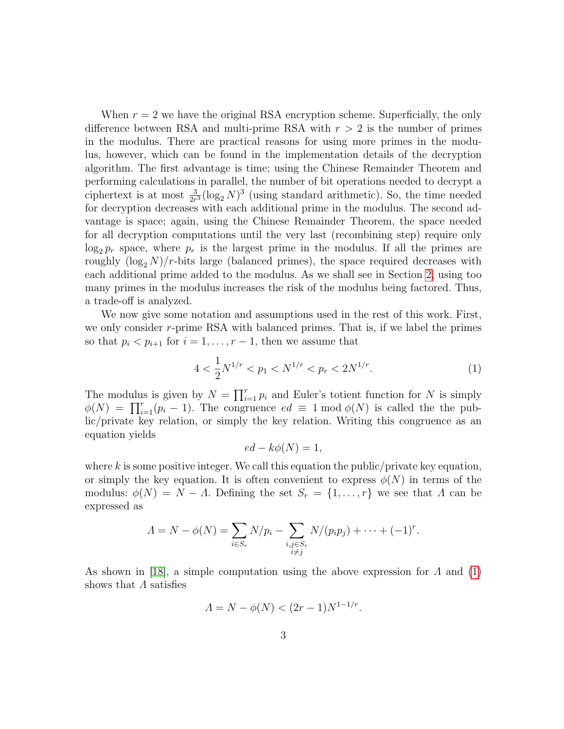When  $r = 2$  we have the original RSA encryption scheme. Superficially, the only difference between RSA and multi-prime RSA with  $r > 2$  is the number of primes in the modulus. There are practical reasons for using more primes in the modulus, however, which can be found in the implementation details of the decryption algorithm. The first advantage is time; using the Chinese Remainder Theorem and performing calculations in parallel, the number of bit operations needed to decrypt a ciphertext is at most  $\frac{3}{2r^3}(\log_2 N)^3$  (using standard arithmetic). So, the time needed for decryption decreases with each additional prime in the modulus. The second advantage is space; again, using the Chinese Remainder Theorem, the space needed for all decryption computations until the very last (recombining step) require only  $\log_2 p_r$  space, where  $p_r$  is the largest prime in the modulus. If all the primes are roughly  $(\log_2 N)/r$ -bits large (balanced primes), the space required decreases with each additional prime added to the modulus. As we shall see in Section [2,](#page-5-0) using too many primes in the modulus increases the risk of the modulus being factored. Thus, a trade-off is analyzed.

We now give some notation and assumptions used in the rest of this work. First, we only consider r-prime RSA with balanced primes. That is, if we label the primes so that  $p_i < p_{i+1}$  for  $i = 1, ..., r-1$ , then we assume that

$$
4 < \frac{1}{2} N^{1/r} < p_1 < N^{1/r} < p_r < 2N^{1/r}.\tag{1}
$$

The modulus is given by  $N = \prod_{i=1}^r p_i$  and Euler's totient function for N is simply  $\phi(N) = \prod_{i=1}^r (p_i - 1)$ . The congruence  $ed \equiv 1 \mod \phi(N)$  is called the the public/private key relation, or simply the key relation. Writing this congruence as an equation yields

<span id="page-2-0"></span>
$$
ed - k\phi(N) = 1,
$$

where k is some positive integer. We call this equation the public/private key equation, or simply the key equation. It is often convenient to express  $\phi(N)$  in terms of the modulus:  $\phi(N) = N - A$ . Defining the set  $S_r = \{1, ..., r\}$  we see that A can be expressed as

$$
\Lambda = N - \phi(N) = \sum_{i \in S_r} N/p_i - \sum_{\substack{i,j \in S_r \\ i \neq j}} N/(p_i p_j) + \dots + (-1)^r.
$$

As shown in [\[18\]](#page-32-1), a simple computation using the above expression for  $\Lambda$  and [\(1\)](#page-2-0) shows that  $\Lambda$  satisfies

$$
A = N - \phi(N) < (2r - 1)N^{1 - 1/r}.
$$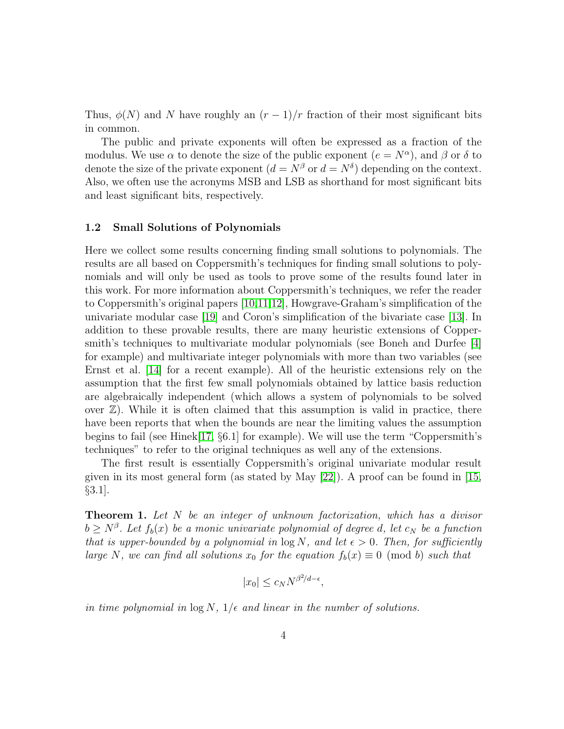Thus,  $\phi(N)$  and N have roughly an  $(r-1)/r$  fraction of their most significant bits in common.

The public and private exponents will often be expressed as a fraction of the modulus. We use  $\alpha$  to denote the size of the public exponent  $(e = N^{\alpha})$ , and  $\beta$  or  $\delta$  to denote the size of the private exponent  $(d = N^{\beta} \text{ or } d = N^{\delta})$  depending on the context. Also, we often use the acronyms MSB and LSB as shorthand for most significant bits and least significant bits, respectively.

#### 1.2 Small Solutions of Polynomials

Here we collect some results concerning finding small solutions to polynomials. The results are all based on Coppersmith's techniques for finding small solutions to polynomials and will only be used as tools to prove some of the results found later in this work. For more information about Coppersmith's techniques, we refer the reader to Coppersmith's original papers [\[10](#page-31-2)[,11](#page-31-3)[,12\]](#page-31-4), Howgrave-Graham's simplification of the univariate modular case [\[19\]](#page-32-2) and Coron's simplification of the bivariate case [\[13\]](#page-31-5). In addition to these provable results, there are many heuristic extensions of Coppersmith's techniques to multivariate modular polynomials (see Boneh and Durfee [\[4\]](#page-31-6) for example) and multivariate integer polynomials with more than two variables (see Ernst et al. [\[14\]](#page-31-1) for a recent example). All of the heuristic extensions rely on the assumption that the first few small polynomials obtained by lattice basis reduction are algebraically independent (which allows a system of polynomials to be solved over  $\mathbb{Z}$ ). While it is often claimed that this assumption is valid in practice, there have been reports that when the bounds are near the limiting values the assumption begins to fail (see Hinek[\[17,](#page-31-7) §6.1] for example). We will use the term "Coppersmith's techniques" to refer to the original techniques as well any of the extensions.

The first result is essentially Coppersmith's original univariate modular result given in its most general form (as stated by May  $[22]$ ). A proof can be found in  $[15,$ §3.1].

<span id="page-3-0"></span>**Theorem 1.** Let N be an integer of unknown factorization, which has a divisor  $b \geq N^{\beta}$ . Let  $f_b(x)$  be a monic univariate polynomial of degree d, let  $c_N$  be a function that is upper-bounded by a polynomial in  $\log N$ , and let  $\epsilon > 0$ . Then, for sufficiently large N, we can find all solutions  $x_0$  for the equation  $f_b(x) \equiv 0 \pmod{b}$  such that

$$
|x_0| \le c_N N^{\beta^2/d - \epsilon},
$$

in time polynomial in  $\log N$ ,  $1/\epsilon$  and linear in the number of solutions.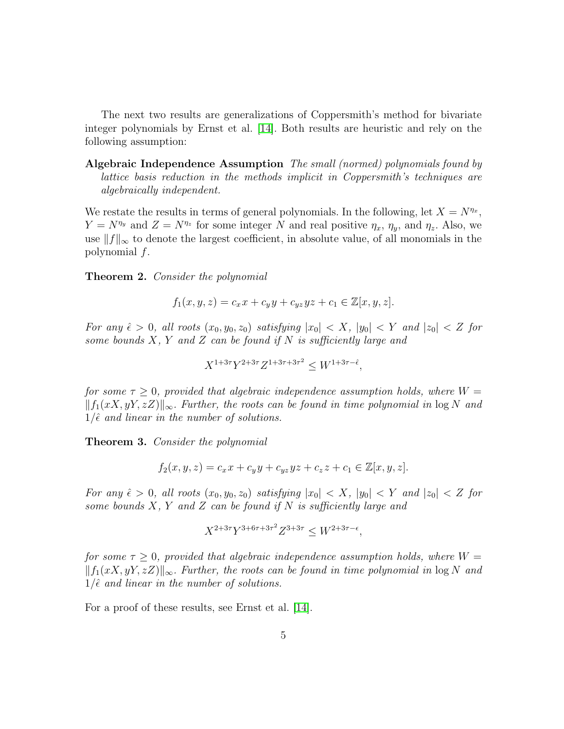The next two results are generalizations of Coppersmith's method for bivariate integer polynomials by Ernst et al. [\[14\]](#page-31-1). Both results are heuristic and rely on the following assumption:

Algebraic Independence Assumption The small (normed) polynomials found by lattice basis reduction in the methods implicit in Coppersmith's techniques are algebraically independent.

We restate the results in terms of general polynomials. In the following, let  $X = N^{\eta_x}$ ,  $Y = N^{\eta_y}$  and  $Z = N^{\eta_z}$  for some integer N and real positive  $\eta_x$ ,  $\eta_y$ , and  $\eta_z$ . Also, we use  $||f||_{\infty}$  to denote the largest coefficient, in absolute value, of all monomials in the polynomial f.

<span id="page-4-0"></span>**Theorem 2.** Consider the polynomial

$$
f_1(x, y, z) = c_x x + c_y y + c_{yz} yz + c_1 \in \mathbb{Z}[x, y, z].
$$

For any  $\hat{\epsilon} > 0$ , all roots  $(x_0, y_0, z_0)$  satisfying  $|x_0| < X$ ,  $|y_0| < Y$  and  $|z_0| < Z$  for some bounds  $X$ ,  $Y$  and  $Z$  can be found if  $N$  is sufficiently large and

$$
X^{1+3\tau}Y^{2+3\tau}Z^{1+3\tau+3\tau^2} \le W^{1+3\tau-\hat{\epsilon}},
$$

for some  $\tau \geq 0$ , provided that algebraic independence assumption holds, where  $W =$  $||f_1(xX, yY, zZ)||_{\infty}$ . Further, the roots can be found in time polynomial in  $\log N$  and  $1/\hat{\epsilon}$  and linear in the number of solutions.

<span id="page-4-1"></span>Theorem 3. Consider the polynomial

$$
f_2(x, y, z) = c_x x + c_y y + c_{yz} yz + c_z z + c_1 \in \mathbb{Z}[x, y, z].
$$

For any  $\hat{\epsilon} > 0$ , all roots  $(x_0, y_0, z_0)$  satisfying  $|x_0| < X$ ,  $|y_0| < Y$  and  $|z_0| < Z$  for some bounds  $X, Y$  and  $Z$  can be found if  $N$  is sufficiently large and

$$
X^{2+3\tau}Y^{3+6\tau+3\tau^2}Z^{3+3\tau} \le W^{2+3\tau-\epsilon},
$$

for some  $\tau \geq 0$ , provided that algebraic independence assumption holds, where  $W =$  $||f_1(xX, yY, zZ)||_{\infty}$ . Further, the roots can be found in time polynomial in  $\log N$  and  $1/\hat{\epsilon}$  and linear in the number of solutions.

For a proof of these results, see Ernst et al. [\[14\]](#page-31-1).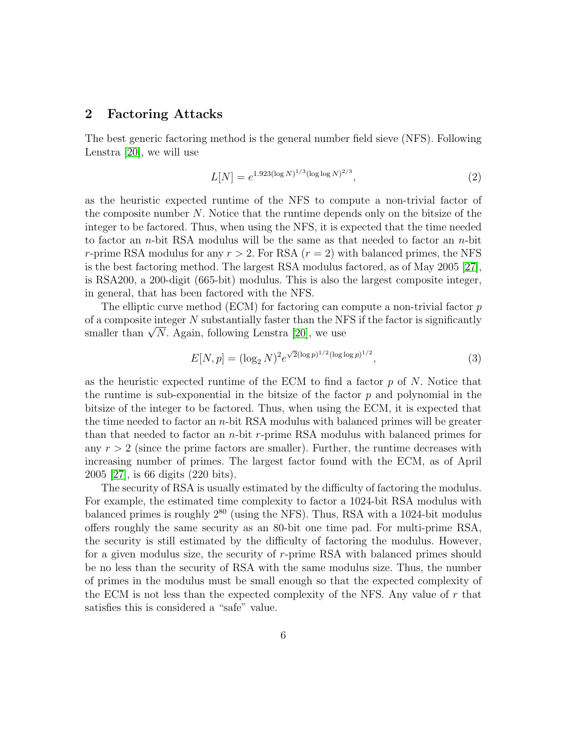### <span id="page-5-0"></span>2 Factoring Attacks

The best generic factoring method is the general number field sieve (NFS). Following Lenstra [\[20\]](#page-32-4), we will use

$$
L[N] = e^{1.923(\log N)^{1/3}(\log \log N)^{2/3}},\tag{2}
$$

as the heuristic expected runtime of the NFS to compute a non-trivial factor of the composite number N. Notice that the runtime depends only on the bitsize of the integer to be factored. Thus, when using the NFS, it is expected that the time needed to factor an n-bit RSA modulus will be the same as that needed to factor an n-bit r-prime RSA modulus for any  $r > 2$ . For RSA  $(r = 2)$  with balanced primes, the NFS is the best factoring method. The largest RSA modulus factored, as of May 2005 [\[27\]](#page-32-5), is RSA200, a 200-digit (665-bit) modulus. This is also the largest composite integer, in general, that has been factored with the NFS.

The elliptic curve method (ECM) for factoring can compute a non-trivial factor  $p$ of a composite integer  $N$  substantially faster than the NFS if the factor is significantly or a composite integer *i*v substantially raster than the ivident<br>smaller than  $\sqrt{N}.$  Again, following Lenstra [\[20\]](#page-32-4), we use

$$
E[N, p] = (\log_2 N)^2 e^{\sqrt{2}(\log p)^{1/2}(\log \log p)^{1/2}}, \tag{3}
$$

as the heuristic expected runtime of the ECM to find a factor  $p$  of  $N$ . Notice that the runtime is sub-exponential in the bitsize of the factor  $p$  and polynomial in the bitsize of the integer to be factored. Thus, when using the ECM, it is expected that the time needed to factor an  $n$ -bit RSA modulus with balanced primes will be greater than that needed to factor an  $n$ -bit  $r$ -prime RSA modulus with balanced primes for any  $r > 2$  (since the prime factors are smaller). Further, the runtime decreases with increasing number of primes. The largest factor found with the ECM, as of April 2005 [\[27\]](#page-32-5), is 66 digits (220 bits).

The security of RSA is usually estimated by the difficulty of factoring the modulus. For example, the estimated time complexity to factor a 1024-bit RSA modulus with balanced primes is roughly  $2^{80}$  (using the NFS). Thus, RSA with a 1024-bit modulus offers roughly the same security as an 80-bit one time pad. For multi-prime RSA, the security is still estimated by the difficulty of factoring the modulus. However, for a given modulus size, the security of r-prime RSA with balanced primes should be no less than the security of RSA with the same modulus size. Thus, the number of primes in the modulus must be small enough so that the expected complexity of the ECM is not less than the expected complexity of the NFS. Any value of  $r$  that satisfies this is considered a "safe" value.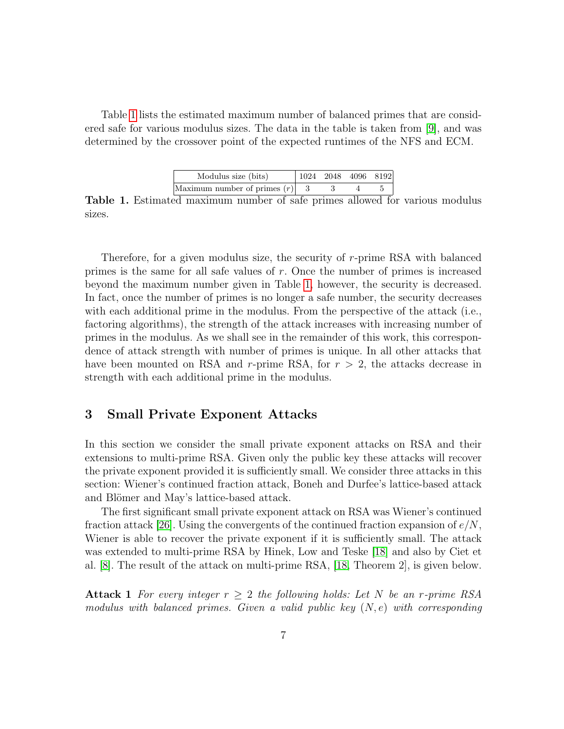Table [1](#page-6-1) lists the estimated maximum number of balanced primes that are considered safe for various modulus sizes. The data in the table is taken from [\[9\]](#page-31-9), and was determined by the crossover point of the expected runtimes of the NFS and ECM.

| Modulus size (bits)              | $1024$ 2048 4096 8192 |  |
|----------------------------------|-----------------------|--|
| Maximum number of primes $(r)$ 3 |                       |  |

<span id="page-6-1"></span>Table 1. Estimated maximum number of safe primes allowed for various modulus sizes.

Therefore, for a given modulus size, the security of r-prime RSA with balanced primes is the same for all safe values of r. Once the number of primes is increased beyond the maximum number given in Table [1,](#page-6-1) however, the security is decreased. In fact, once the number of primes is no longer a safe number, the security decreases with each additional prime in the modulus. From the perspective of the attack (i.e., factoring algorithms), the strength of the attack increases with increasing number of primes in the modulus. As we shall see in the remainder of this work, this correspondence of attack strength with number of primes is unique. In all other attacks that have been mounted on RSA and r-prime RSA, for  $r > 2$ , the attacks decrease in strength with each additional prime in the modulus.

# <span id="page-6-0"></span>3 Small Private Exponent Attacks

In this section we consider the small private exponent attacks on RSA and their extensions to multi-prime RSA. Given only the public key these attacks will recover the private exponent provided it is sufficiently small. We consider three attacks in this section: Wiener's continued fraction attack, Boneh and Durfee's lattice-based attack and Blömer and May's lattice-based attack.

The first significant small private exponent attack on RSA was Wiener's continued fraction attack [\[26\]](#page-32-6). Using the convergents of the continued fraction expansion of  $e/N$ , Wiener is able to recover the private exponent if it is sufficiently small. The attack was extended to multi-prime RSA by Hinek, Low and Teske [\[18\]](#page-32-1) and also by Ciet et al. [\[8\]](#page-31-10). The result of the attack on multi-prime RSA, [\[18,](#page-32-1) Theorem 2], is given below.

<span id="page-6-2"></span>**Attack 1** For every integer  $r > 2$  the following holds: Let N be an r-prime RSA modulus with balanced primes. Given a valid public key  $(N, e)$  with corresponding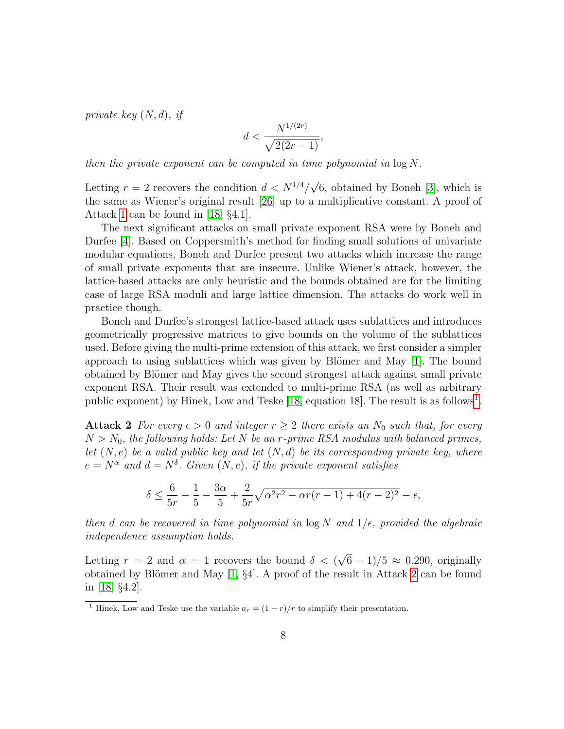private key  $(N, d)$ , if

$$
d < \frac{N^{1/(2r)}}{\sqrt{2(2r-1)}},
$$

then the private exponent can be computed in time polynomial in  $\log N$ .

Letting  $r = 2$  recovers the condition  $d < N^{1/4}$ √ 6, obtained by Boneh [\[3\]](#page-31-0), which is the same as Wiener's original result [\[26\]](#page-32-6) up to a multiplicative constant. A proof of Attack [1](#page-6-2) can be found in [\[18,](#page-32-1) §4.1].

The next significant attacks on small private exponent RSA were by Boneh and Durfee [\[4\]](#page-31-6). Based on Coppersmith's method for finding small solutions of univariate modular equations, Boneh and Durfee present two attacks which increase the range of small private exponents that are insecure. Unlike Wiener's attack, however, the lattice-based attacks are only heuristic and the bounds obtained are for the limiting case of large RSA moduli and large lattice dimension. The attacks do work well in practice though.

Boneh and Durfee's strongest lattice-based attack uses sublattices and introduces geometrically progressive matrices to give bounds on the volume of the sublattices used. Before giving the multi-prime extension of this attack, we first consider a simpler approach to using sublattices which was given by Blömer and May  $[1]$ . The bound obtained by Blömer and May gives the second strongest attack against small private exponent RSA. Their result was extended to multi-prime RSA (as well as arbitrary public exponent) by Hinek, Low and Teske  $[18,$  equation [1](#page-7-0)8. The result is as follows<sup>1</sup>.

<span id="page-7-1"></span>Attack 2 For every  $\epsilon > 0$  and integer  $r \geq 2$  there exists an  $N_0$  such that, for every  $N > N_0$ , the following holds: Let N be an r-prime RSA modulus with balanced primes, let  $(N, e)$  be a valid public key and let  $(N, d)$  be its corresponding private key, where  $e = N^{\alpha}$  and  $d = N^{\delta}$ . Given  $(N, e)$ , if the private exponent satisfies

$$
\delta \le \frac{6}{5r} - \frac{1}{5} - \frac{3\alpha}{5} + \frac{2}{5r}\sqrt{\alpha^2 r^2 - \alpha r(r-1) + 4(r-2)^2} - \epsilon,
$$

then d can be recovered in time polynomial in  $\log N$  and  $1/\epsilon$ , provided the algebraic independence assumption holds.

Letting  $r = 2$  and  $\alpha = 1$  recovers the bound  $\delta < 0$ √  $(6-1)/5 \approx 0.290$ , originally obtained by Blömer and May  $[1, \S4]$  $[1, \S4]$ . A proof of the result in Attack [2](#page-7-1) can be found in [\[18,](#page-32-1) §4.2].

<span id="page-7-0"></span><sup>&</sup>lt;sup>1</sup> Hinek, Low and Teske use the variable  $a_r = (1 - r)/r$  to simplify their presentation.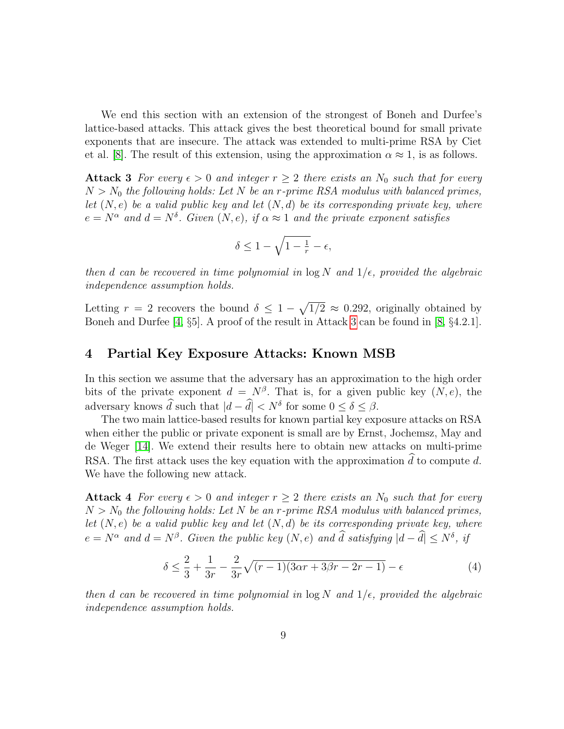We end this section with an extension of the strongest of Boneh and Durfee's lattice-based attacks. This attack gives the best theoretical bound for small private exponents that are insecure. The attack was extended to multi-prime RSA by Ciet et al. [\[8\]](#page-31-10). The result of this extension, using the approximation  $\alpha \approx 1$ , is as follows.

<span id="page-8-1"></span>Attack 3 For every  $\epsilon > 0$  and integer  $r \geq 2$  there exists an  $N_0$  such that for every  $N > N_0$  the following holds: Let N be an r-prime RSA modulus with balanced primes, let  $(N, e)$  be a valid public key and let  $(N, d)$  be its corresponding private key, where  $e = N^{\alpha}$  and  $d = N^{\delta}$ . Given  $(N, e)$ , if  $\alpha \approx 1$  and the private exponent satisfies

$$
\delta \le 1 - \sqrt{1 - \frac{1}{r}} - \epsilon,
$$

then d can be recovered in time polynomial in  $\log N$  and  $1/\epsilon$ , provided the algebraic independence assumption holds.

Letting  $r = 2$  recovers the bound  $\delta \leq 1 - \sqrt{1/2} \approx 0.292$ , originally obtained by Boneh and Durfee [\[4,](#page-31-6) §5]. A proof of the result in Attack [3](#page-8-1) can be found in [\[8,](#page-31-10) §4.2.1].

# <span id="page-8-0"></span>4 Partial Key Exposure Attacks: Known MSB

In this section we assume that the adversary has an approximation to the high order bits of the private exponent  $d = N^{\beta}$ . That is, for a given public key  $(N, e)$ , the adversary knows  $\tilde{d}$  such that  $|d - \tilde{d}| < N^{\delta}$  for some  $0 \leq \delta \leq \beta$ .

The two main lattice-based results for known partial key exposure attacks on RSA when either the public or private exponent is small are by Ernst, Jochemsz, May and de Weger [\[14\]](#page-31-1). We extend their results here to obtain new attacks on multi-prime RSA. The first attack uses the key equation with the approximation  $\hat{d}$  to compute d. We have the following new attack.

<span id="page-8-2"></span>Attack 4 For every  $\epsilon > 0$  and integer  $r \geq 2$  there exists an  $N_0$  such that for every  $N > N_0$  the following holds: Let N be an r-prime RSA modulus with balanced primes, let  $(N, e)$  be a valid public key and let  $(N, d)$  be its corresponding private key, where  $e = N^{\alpha}$  and  $d = N^{\beta}$ . Given the public key  $(N, e)$  and  $\hat{d}$  satisfying  $|d - \hat{d}| \le N^{\delta}$ , if

$$
\delta \le \frac{2}{3} + \frac{1}{3r} - \frac{2}{3r}\sqrt{(r-1)(3\alpha r + 3\beta r - 2r - 1)} - \epsilon
$$
\n(4)

then d can be recovered in time polynomial in  $\log N$  and  $1/\epsilon$ , provided the algebraic independence assumption holds.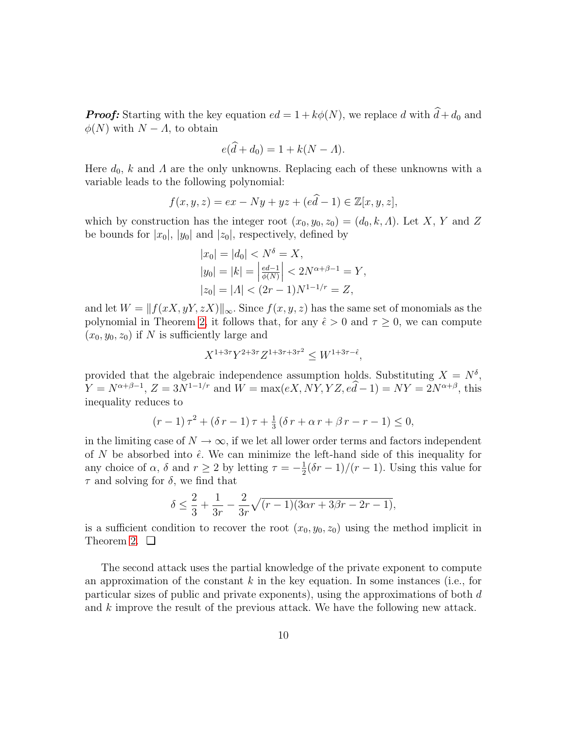**Proof:** Starting with the key equation  $ed = 1 + k\phi(N)$ , we replace d with  $\hat{d} + d_0$  and  $\phi(N)$  with  $N - A$ , to obtain

$$
e(\widehat{d} + d_0) = 1 + k(N - \Lambda).
$$

Here  $d_0$ , k and  $\Lambda$  are the only unknowns. Replacing each of these unknowns with a variable leads to the following polynomial:

$$
f(x, y, z) = ex - Ny + yz + (e\hat{d} - 1) \in \mathbb{Z}[x, y, z],
$$

which by construction has the integer root  $(x_0, y_0, z_0) = (d_0, k, \Lambda)$ . Let X, Y and Z be bounds for  $|x_0|$ ,  $|y_0|$  and  $|z_0|$ , respectively, defined by

$$
|x_0| = |d_0| < N^{\delta} = X,
$$
\n
$$
|y_0| = |k| = \left| \frac{ed-1}{\phi(N)} \right| < 2N^{\alpha+\beta-1} = Y,
$$
\n
$$
|z_0| = |A| < (2r-1)N^{1-1/r} = Z,
$$

and let  $W = ||f(xX, yY, zX)||_{\infty}$ . Since  $f(x, y, z)$  has the same set of monomials as the polynomial in Theorem [2,](#page-4-0) it follows that, for any  $\hat{\epsilon} > 0$  and  $\tau \geq 0$ , we can compute  $(x_0, y_0, z_0)$  if N is sufficiently large and

$$
X^{1+3\tau}Y^{2+3\tau}Z^{1+3\tau+3\tau^2} \le W^{1+3\tau-\hat{\epsilon}},
$$

provided that the algebraic independence assumption holds. Substituting  $X = N^{\delta}$ ,  $Y = N^{\alpha+\beta-1}, Z = 3N^{1-1/r}$  and  $W = \max(eX, NY, YZ, ed-1) = NY = 2N^{\alpha+\beta}$ , this inequality reduces to

$$
(r-1)\tau^{2} + (\delta r - 1)\tau + \frac{1}{3}(\delta r + \alpha r + \beta r - r - 1) \leq 0,
$$

in the limiting case of  $N \to \infty$ , if we let all lower order terms and factors independent of N be absorbed into  $\hat{\epsilon}$ . We can minimize the left-hand side of this inequality for any choice of  $\alpha$ ,  $\delta$  and  $r \geq 2$  by letting  $\tau = -\frac{1}{2}$  $\frac{1}{2}(\delta r - 1)/(r - 1)$ . Using this value for  $\tau$  and solving for  $\delta$ , we find that

$$
\delta \le \frac{2}{3} + \frac{1}{3r} - \frac{2}{3r}\sqrt{(r-1)(3\alpha r + 3\beta r - 2r - 1)},
$$

is a sufficient condition to recover the root  $(x_0, y_0, z_0)$  using the method implicit in Theorem [2.](#page-4-0) ❏

<span id="page-9-0"></span>The second attack uses the partial knowledge of the private exponent to compute an approximation of the constant  $k$  in the key equation. In some instances (i.e., for particular sizes of public and private exponents), using the approximations of both d and  $k$  improve the result of the previous attack. We have the following new attack.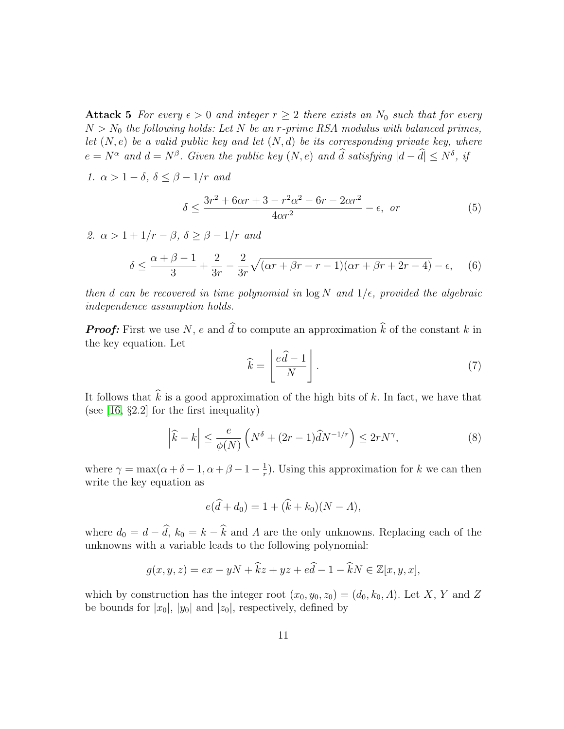Attack 5 For every  $\epsilon > 0$  and integer  $r \geq 2$  there exists an  $N_0$  such that for every  $N > N_0$  the following holds: Let N be an r-prime RSA modulus with balanced primes, let  $(N, e)$  be a valid public key and let  $(N, d)$  be its corresponding private key, where  $e = N^{\alpha}$  and  $d = N^{\beta}$ . Given the public key  $(N, e)$  and  $\hat{d}$  satisfying  $|d - \hat{d}| \le N^{\delta}$ , if

1.  $\alpha > 1 - \delta$ ,  $\delta \leq \beta - 1/r$  and

$$
\delta \le \frac{3r^2 + 6\alpha r + 3 - r^2\alpha^2 - 6r - 2\alpha r^2}{4\alpha r^2} - \epsilon, \text{ or } (5)
$$

2.  $\alpha > 1 + 1/r - \beta$ ,  $\delta \geq \beta - 1/r$  and

$$
\delta \le \frac{\alpha + \beta - 1}{3} + \frac{2}{3r} - \frac{2}{3r}\sqrt{(\alpha r + \beta r - r - 1)(\alpha r + \beta r + 2r - 4)} - \epsilon,\tag{6}
$$

then d can be recovered in time polynomial in  $\log N$  and  $1/\epsilon$ , provided the algebraic independence assumption holds.

**Proof:** First we use N, e and  $\widehat{d}$  to compute an approximation  $\widehat{k}$  of the constant k in the key equation. Let

$$
\widehat{k} = \left\lfloor \frac{e\widehat{d} - 1}{N} \right\rfloor. \tag{7}
$$

It follows that  $\hat{k}$  is a good approximation of the high bits of k. In fact, we have that (see [\[16,](#page-31-12) §2.2] for the first inequality)

$$
\left|\widehat{k} - k\right| \le \frac{e}{\phi(N)} \left(N^{\delta} + (2r - 1)\widehat{d}N^{-1/r}\right) \le 2rN^{\gamma},\tag{8}
$$

where  $\gamma = \max(\alpha + \delta - 1, \alpha + \beta - 1 - \frac{1}{r})$  $\frac{1}{r}$ ). Using this approximation for k we can then write the key equation as

$$
e(\hat{d} + d_0) = 1 + (\hat{k} + k_0)(N - A),
$$

where  $d_0 = d - \hat{d}$ ,  $k_0 = k - \hat{k}$  and  $\hat{A}$  are the only unknowns. Replacing each of the unknowns with a variable leads to the following polynomial:

$$
g(x, y, z) = ex - yN + \hat{k}z + yz + e\hat{d} - 1 - \hat{k}N \in \mathbb{Z}[x, y, x],
$$

which by construction has the integer root  $(x_0, y_0, z_0) = (d_0, k_0, \Lambda)$ . Let X, Y and Z be bounds for  $|x_0|$ ,  $|y_0|$  and  $|z_0|$ , respectively, defined by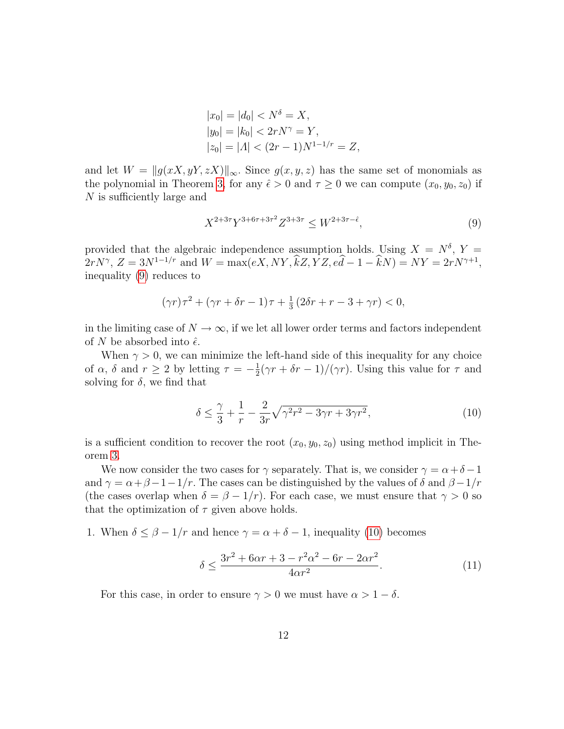$$
|x_0| = |d_0| < N^{\delta} = X,
$$
\n
$$
|y_0| = |k_0| < 2rN^{\gamma} = Y,
$$
\n
$$
|z_0| = |A| < (2r - 1)N^{1-1/r} = Z,
$$

and let  $W = ||g(xX, yY, zX)||_{\infty}$ . Since  $g(x, y, z)$  has the same set of monomials as the polynomial in Theorem [3,](#page-4-1) for any  $\hat{\epsilon} > 0$  and  $\tau \geq 0$  we can compute  $(x_0, y_0, z_0)$  if N is sufficiently large and

<span id="page-11-0"></span>
$$
X^{2+3\tau} Y^{3+6\tau+3\tau^2} Z^{3+3\tau} \le W^{2+3\tau-\hat{\epsilon}},\tag{9}
$$

provided that the algebraic independence assumption holds. Using  $X = N^{\delta}$ ,  $Y =$  $2rN^{\gamma}, Z = 3N^{1-1/r}$  and  $W = \max(eX, NY, \hat{k}Z, YZ, e\hat{d} - 1 - \hat{k}N) = NY = 2rN^{\gamma+1},$ inequality [\(9\)](#page-11-0) reduces to

$$
(\gamma r)\tau^2 + (\gamma r + \delta r - 1)\tau + \frac{1}{3}(2\delta r + r - 3 + \gamma r) < 0,
$$

in the limiting case of  $N \to \infty$ , if we let all lower order terms and factors independent of N be absorbed into  $\hat{\epsilon}$ .

When  $\gamma > 0$ , we can minimize the left-hand side of this inequality for any choice of  $\alpha$ ,  $\delta$  and  $r \geq 2$  by letting  $\tau = -\frac{1}{2}$  $\frac{1}{2}(\gamma r + \delta r - 1)/(\gamma r)$ . Using this value for  $\tau$  and solving for  $\delta$ , we find that

<span id="page-11-1"></span>
$$
\delta \le \frac{\gamma}{3} + \frac{1}{r} - \frac{2}{3r} \sqrt{\gamma^2 r^2 - 3\gamma r + 3\gamma r^2},\tag{10}
$$

is a sufficient condition to recover the root  $(x_0, y_0, z_0)$  using method implicit in Theorem [3.](#page-4-1)

We now consider the two cases for  $\gamma$  separately. That is, we consider  $\gamma = \alpha + \delta - 1$ and  $\gamma = \alpha + \beta - 1 - 1/r$ . The cases can be distinguished by the values of  $\delta$  and  $\beta - 1/r$ (the cases overlap when  $\delta = \beta - 1/r$ ). For each case, we must ensure that  $\gamma > 0$  so that the optimization of  $\tau$  given above holds.

1. When  $\delta \leq \beta - 1/r$  and hence  $\gamma = \alpha + \delta - 1$ , inequality [\(10\)](#page-11-1) becomes

$$
\delta \le \frac{3r^2 + 6\alpha r + 3 - r^2\alpha^2 - 6r - 2\alpha r^2}{4\alpha r^2}.
$$
 (11)

For this case, in order to ensure  $\gamma > 0$  we must have  $\alpha > 1 - \delta$ .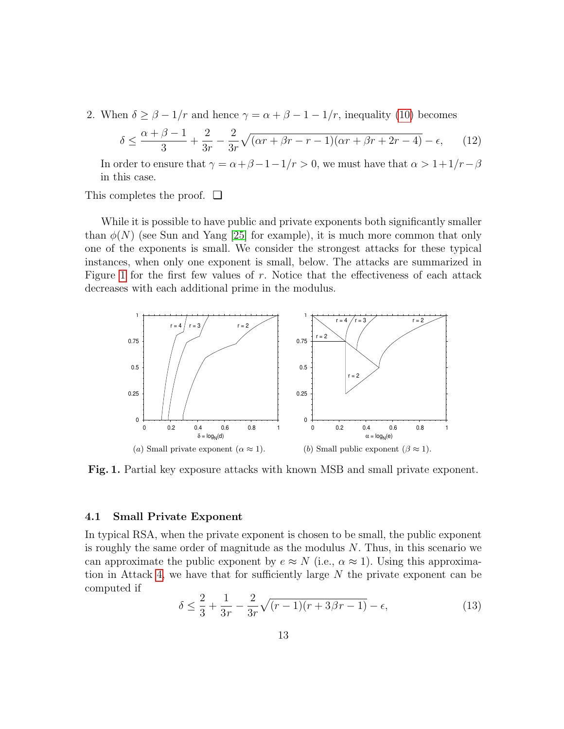2. When  $\delta \geq \beta - 1/r$  and hence  $\gamma = \alpha + \beta - 1 - 1/r$ , inequality [\(10\)](#page-11-1) becomes

$$
\delta \le \frac{\alpha + \beta - 1}{3} + \frac{2}{3r} - \frac{2}{3r}\sqrt{(\alpha r + \beta r - r - 1)(\alpha r + \beta r + 2r - 4)} - \epsilon,\qquad(12)
$$

In order to ensure that  $\gamma = \alpha + \beta - 1 - 1/r > 0$ , we must have that  $\alpha > 1 + 1/r - \beta$ in this case.

This completes the proof. ❏

While it is possible to have public and private exponents both significantly smaller than  $\phi(N)$  (see Sun and Yang [\[25\]](#page-32-7) for example), it is much more common that only one of the exponents is small. We consider the strongest attacks for these typical instances, when only one exponent is small, below. The attacks are summarized in Figure [1](#page-12-0) for the first few values of r. Notice that the effectiveness of each attack decreases with each additional prime in the modulus.



<span id="page-12-0"></span>Fig. 1. Partial key exposure attacks with known MSB and small private exponent.

#### 4.1 Small Private Exponent

In typical RSA, when the private exponent is chosen to be small, the public exponent is roughly the same order of magnitude as the modulus  $N$ . Thus, in this scenario we can approximate the public exponent by  $e \approx N$  (i.e.,  $\alpha \approx 1$ ). Using this approxima-tion in Attack [4,](#page-8-2) we have that for sufficiently large  $N$  the private exponent can be computed if

$$
\delta \le \frac{2}{3} + \frac{1}{3r} - \frac{2}{3r}\sqrt{(r-1)(r+3\beta r - 1)} - \epsilon,\tag{13}
$$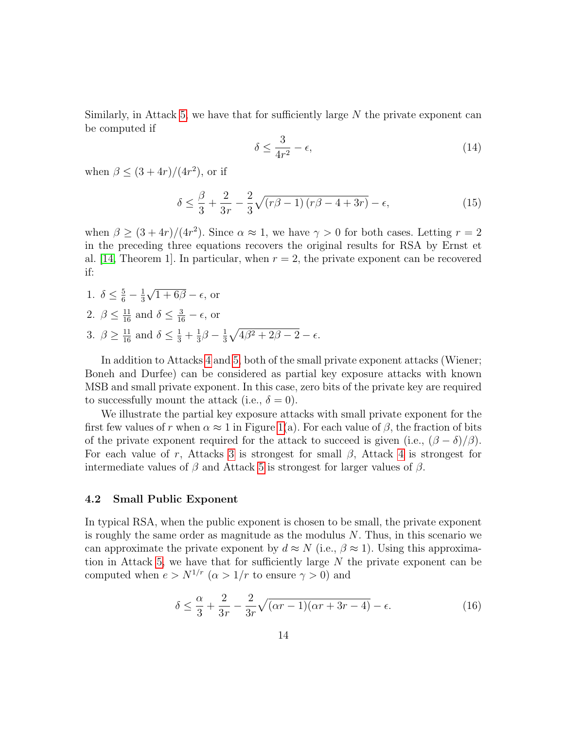Similarly, in Attack [5,](#page-9-0) we have that for sufficiently large  $N$  the private exponent can be computed if

$$
\delta \le \frac{3}{4r^2} - \epsilon,\tag{14}
$$

when  $\beta \leq (3+4r)/(4r^2)$ , or if

$$
\delta \le \frac{\beta}{3} + \frac{2}{3r} - \frac{2}{3}\sqrt{(r\beta - 1)(r\beta - 4 + 3r)} - \epsilon,\tag{15}
$$

when  $\beta \geq (3+4r)/(4r^2)$ . Since  $\alpha \approx 1$ , we have  $\gamma > 0$  for both cases. Letting  $r = 2$ in the preceding three equations recovers the original results for RSA by Ernst et al. [\[14,](#page-31-1) Theorem 1]. In particular, when  $r = 2$ , the private exponent can be recovered if:

1.  $\delta \leq \frac{5}{6} - \frac{1}{3}$ 3 √  $1+6\beta-\epsilon$ , or 2.  $\beta \leq \frac{11}{16}$  and  $\delta \leq \frac{3}{16} - \epsilon$ , or 3.  $\beta \ge \frac{11}{16}$  and  $\delta \le \frac{1}{3} + \frac{1}{3}$  $\frac{1}{3}\beta - \frac{1}{3}$  $\frac{1}{3}\sqrt{4\beta^2+2\beta-2}-\epsilon.$ 

In addition to Attacks [4](#page-8-2) and [5,](#page-9-0) both of the small private exponent attacks (Wiener; Boneh and Durfee) can be considered as partial key exposure attacks with known MSB and small private exponent. In this case, zero bits of the private key are required to successfully mount the attack (i.e.,  $\delta = 0$ ).

We illustrate the partial key exposure attacks with small private exponent for the first few values of r when  $\alpha \approx 1$  in Figure [1\(](#page-12-0)a). For each value of  $\beta$ , the fraction of bits of the private exponent required for the attack to succeed is given (i.e.,  $(\beta - \delta)/\beta$ ). For each value of r, Attacks [3](#page-8-1) is strongest for small  $\beta$ , Attack [4](#page-8-2) is strongest for intermediate values of  $\beta$  and Attack [5](#page-9-0) is strongest for larger values of  $\beta$ .

#### 4.2 Small Public Exponent

In typical RSA, when the public exponent is chosen to be small, the private exponent is roughly the same order as magnitude as the modulus  $N$ . Thus, in this scenario we can approximate the private exponent by  $d \approx N$  (i.e.,  $\beta \approx 1$ ). Using this approxima-tion in Attack [5,](#page-9-0) we have that for sufficiently large  $N$  the private exponent can be computed when  $e > N^{1/r}$  ( $\alpha > 1/r$  to ensure  $\gamma > 0$ ) and

$$
\delta \le \frac{\alpha}{3} + \frac{2}{3r} - \frac{2}{3r}\sqrt{(\alpha r - 1)(\alpha r + 3r - 4)} - \epsilon.
$$
 (16)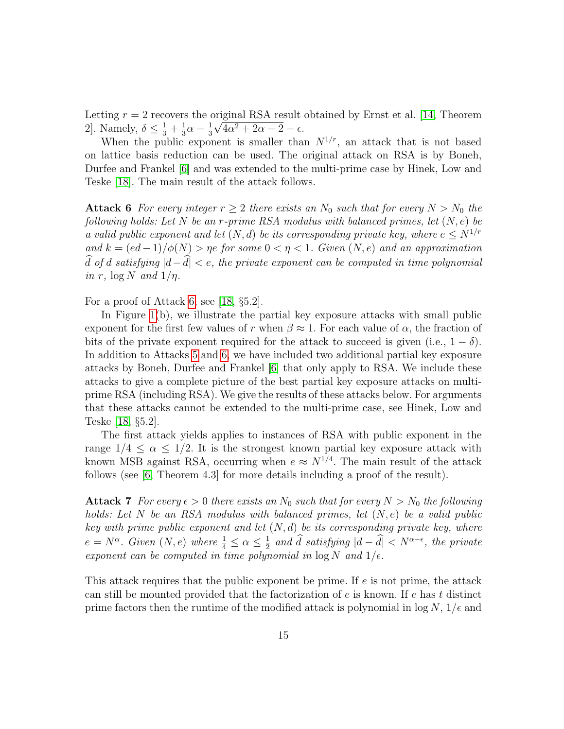Letting  $r = 2$  recovers the original RSA result obtained by Ernst et al. [\[14,](#page-31-1) Theorem 2]. Namely,  $\delta \leq \frac{1}{3} + \frac{1}{3}$  $\frac{1}{3}\alpha-\frac{1}{3}$  $\frac{1}{3}\sqrt{4\alpha^2+2\alpha-2}-\epsilon.$ 

When the public exponent is smaller than  $N^{1/r}$ , an attack that is not based on lattice basis reduction can be used. The original attack on RSA is by Boneh, Durfee and Frankel [\[6\]](#page-31-13) and was extended to the multi-prime case by Hinek, Low and Teske [\[18\]](#page-32-1). The main result of the attack follows.

<span id="page-14-0"></span>Attack 6 For every integer  $r \geq 2$  there exists an  $N_0$  such that for every  $N > N_0$  the following holds: Let N be an r-prime RSA modulus with balanced primes, let  $(N, e)$  be a valid public exponent and let  $(N, d)$  be its corresponding private key, where  $e \leq N^{1/r}$ and  $k = (ed-1)/\phi(N) > \eta e$  for some  $0 < \eta < 1$ . Given  $(N, e)$  and an approximation  $\widehat{d}$  of d satisfying  $|d-\widehat{d}| < e$ , the private exponent can be computed in time polynomial in r,  $\log N$  and  $1/\eta$ .

For a proof of Attack [6,](#page-14-0) see [\[18,](#page-32-1) §5.2].

In Figure [1\(](#page-12-0)b), we illustrate the partial key exposure attacks with small public exponent for the first few values of r when  $\beta \approx 1$ . For each value of  $\alpha$ , the fraction of bits of the private exponent required for the attack to succeed is given (i.e.,  $1 - \delta$ ). In addition to Attacks [5](#page-9-0) and [6,](#page-14-0) we have included two additional partial key exposure attacks by Boneh, Durfee and Frankel [\[6\]](#page-31-13) that only apply to RSA. We include these attacks to give a complete picture of the best partial key exposure attacks on multiprime RSA (including RSA). We give the results of these attacks below. For arguments that these attacks cannot be extended to the multi-prime case, see Hinek, Low and Teske [\[18,](#page-32-1) §5.2].

The first attack yields applies to instances of RSA with public exponent in the range  $1/4 < \alpha < 1/2$ . It is the strongest known partial key exposure attack with known MSB against RSA, occurring when  $e \approx N^{1/4}$ . The main result of the attack follows (see [\[6,](#page-31-13) Theorem 4.3] for more details including a proof of the result).

<span id="page-14-1"></span>**Attack 7** For every  $\epsilon > 0$  there exists an  $N_0$  such that for every  $N > N_0$  the following holds: Let N be an RSA modulus with balanced primes, let  $(N, e)$  be a valid public key with prime public exponent and let  $(N, d)$  be its corresponding private key, where  $e = N^{\alpha}$ . Given  $(N, e)$  where  $\frac{1}{4} \leq \alpha \leq \frac{1}{2}$  $\frac{1}{2}$  and  $\tilde{d}$  satisfying  $|d - \tilde{d}| < N^{\alpha - \epsilon}$ , the private exponent can be computed in time polynomial in  $\log N$  and  $1/\epsilon$ .

This attack requires that the public exponent be prime. If e is not prime, the attack can still be mounted provided that the factorization of  $e$  is known. If  $e$  has  $t$  distinct prime factors then the runtime of the modified attack is polynomial in  $\log N$ ,  $1/\epsilon$  and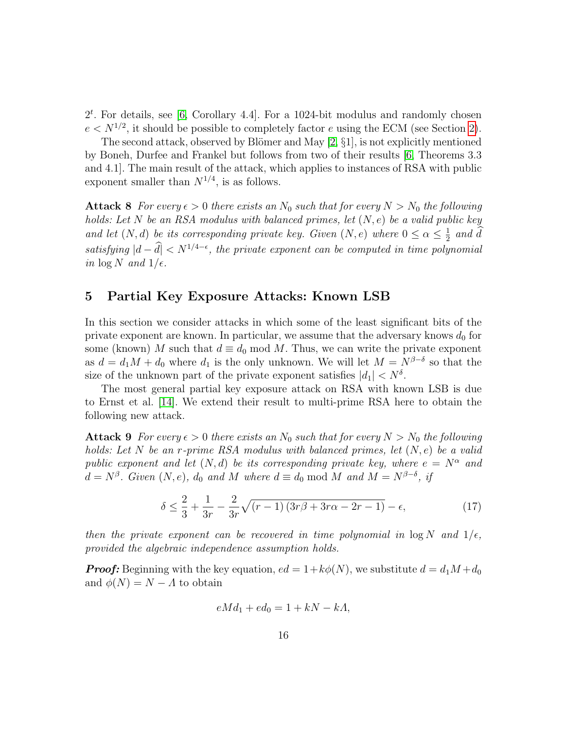$2<sup>t</sup>$ . For details, see [\[6,](#page-31-13) Corollary 4.4]. For a 1024-bit modulus and randomly chosen  $e < N^{1/2}$ , it should be possible to completely factor e using the ECM (see Section [2\)](#page-5-0).

The second attack, observed by Blömer and May  $[2, \S1]$  $[2, \S1]$ , is not explicitly mentioned by Boneh, Durfee and Frankel but follows from two of their results [\[6,](#page-31-13) Theorems 3.3 and 4.1]. The main result of the attack, which applies to instances of RSA with public exponent smaller than  $N^{1/4}$ , is as follows.

<span id="page-15-2"></span>Attack 8 For every  $\epsilon > 0$  there exists an  $N_0$  such that for every  $N > N_0$  the following holds: Let  $N$  be an RSA modulus with balanced primes, let  $(N, e)$  be a valid public key and let  $(N, d)$  be its corresponding private key. Given  $(N, e)$  where  $0 \leq \alpha \leq \frac{1}{2}$  $rac{1}{2}$  and d satisfying  $|d - \hat{d}| < N^{1/4 - \epsilon}$ , the private exponent can be computed in time polynomial in  $\log N$  and  $1/\epsilon$ .

## <span id="page-15-0"></span>5 Partial Key Exposure Attacks: Known LSB

In this section we consider attacks in which some of the least significant bits of the private exponent are known. In particular, we assume that the adversary knows  $d_0$  for some (known) M such that  $d \equiv d_0 \mod M$ . Thus, we can write the private exponent as  $d = d_1M + d_0$  where  $d_1$  is the only unknown. We will let  $M = N^{\beta-\delta}$  so that the size of the unknown part of the private exponent satisfies  $|d_1| < N^{\delta}$ .

The most general partial key exposure attack on RSA with known LSB is due to Ernst et al. [\[14\]](#page-31-1). We extend their result to multi-prime RSA here to obtain the following new attack.

**Attack 9** For every  $\epsilon > 0$  there exists an  $N_0$  such that for every  $N > N_0$  the following holds: Let N be an r-prime RSA modulus with balanced primes, let  $(N, e)$  be a valid public exponent and let  $(N, d)$  be its corresponding private key, where  $e = N^{\alpha}$  and  $d = N^{\beta}$ . Given  $(N, e)$ ,  $d_0$  and M where  $d \equiv d_0 \bmod M$  and  $M = N^{\beta-\delta}$ , if

<span id="page-15-1"></span>
$$
\delta \le \frac{2}{3} + \frac{1}{3r} - \frac{2}{3r}\sqrt{(r-1)(3r\beta + 3r\alpha - 2r - 1)} - \epsilon,\tag{17}
$$

then the private exponent can be recovered in time polynomial in  $\log N$  and  $1/\epsilon$ , provided the algebraic independence assumption holds.

**Proof:** Beginning with the key equation,  $ed = 1 + k\phi(N)$ , we substitute  $d = d_1M + d_0$ and  $\phi(N) = N - A$  to obtain

$$
eMd_1 + ed_0 = 1 + kN - kA,
$$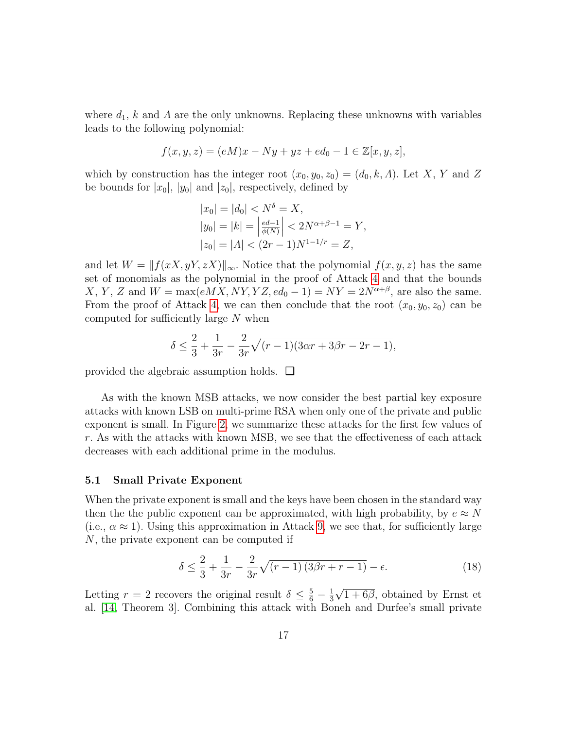where  $d_1$ , k and  $\Lambda$  are the only unknowns. Replacing these unknowns with variables leads to the following polynomial:

$$
f(x,y,z) = (eM)x - Ny + yz + ed_0 - 1 \in \mathbb{Z}[x,y,z],
$$

which by construction has the integer root  $(x_0, y_0, z_0) = (d_0, k, \Lambda)$ . Let X, Y and Z be bounds for  $|x_0|$ ,  $|y_0|$  and  $|z_0|$ , respectively, defined by

$$
|x_0| = |d_0| < N^{\delta} = X,
$$
\n
$$
|y_0| = |k| = \left| \frac{ed - 1}{\phi(N)} \right| < 2N^{\alpha + \beta - 1} = Y,
$$
\n
$$
|z_0| = |A| < (2r - 1)N^{1 - 1/r} = Z,
$$

and let  $W = ||f(xX, yY, zX)||_{\infty}$ . Notice that the polynomial  $f(x, y, z)$  has the same set of monomials as the polynomial in the proof of Attack [4](#page-8-2) and that the bounds X, Y, Z and  $W = \max(eMX, NY, YZ, ed_0 - 1) = NY = 2N^{\alpha+\beta}$ , are also the same. From the proof of Attack [4,](#page-8-2) we can then conclude that the root  $(x_0, y_0, z_0)$  can be computed for sufficiently large N when

$$
\delta \le \frac{2}{3} + \frac{1}{3r} - \frac{2}{3r}\sqrt{(r-1)(3\alpha r + 3\beta r - 2r - 1)},
$$

provided the algebraic assumption holds. ❏

As with the known MSB attacks, we now consider the best partial key exposure attacks with known LSB on multi-prime RSA when only one of the private and public exponent is small. In Figure [2,](#page-17-0) we summarize these attacks for the first few values of r. As with the attacks with known MSB, we see that the effectiveness of each attack decreases with each additional prime in the modulus.

#### <span id="page-16-0"></span>5.1 Small Private Exponent

When the private exponent is small and the keys have been chosen in the standard way then the the public exponent can be approximated, with high probability, by  $e \approx N$ (i.e.,  $\alpha \approx 1$ ). Using this approximation in Attack [9,](#page-15-1) we see that, for sufficiently large N, the private exponent can be computed if

$$
\delta \le \frac{2}{3} + \frac{1}{3r} - \frac{2}{3r}\sqrt{(r-1)(3\beta r + r - 1)} - \epsilon.
$$
 (18)

Letting  $r = 2$  recovers the original result  $\delta \leq \frac{5}{6} - \frac{1}{3}$ 3 √  $1+6\overline{\beta}$ , obtained by Ernst et al. [\[14,](#page-31-1) Theorem 3]. Combining this attack with Boneh and Durfee's small private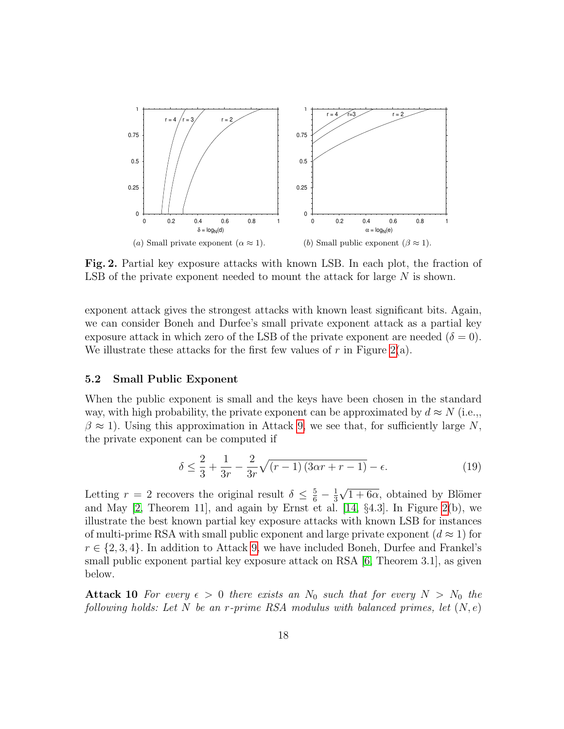

<span id="page-17-0"></span>Fig. 2. Partial key exposure attacks with known LSB. In each plot, the fraction of LSB of the private exponent needed to mount the attack for large  $N$  is shown.

exponent attack gives the strongest attacks with known least significant bits. Again, we can consider Boneh and Durfee's small private exponent attack as a partial key exposure attack in which zero of the LSB of the private exponent are needed  $(\delta = 0)$ . We illustrate these attacks for the first few values of  $r$  in Figure [2\(](#page-17-0)a).

### 5.2 Small Public Exponent

When the public exponent is small and the keys have been chosen in the standard way, with high probability, the private exponent can be approximated by  $d \approx N$  (i.e.,  $\beta \approx 1$ ). Using this approximation in Attack [9,](#page-15-1) we see that, for sufficiently large N, the private exponent can be computed if

$$
\delta \le \frac{2}{3} + \frac{1}{3r} - \frac{2}{3r}\sqrt{(r-1)(3\alpha r + r - 1)} - \epsilon.
$$
 (19)

Letting  $r = 2$  recovers the original result  $\delta \leq \frac{5}{6} - \frac{1}{3}$ 3 √  $1 + 6\alpha$ , obtained by Blömer and May  $[2,$  Theorem 11, and again by Ernst et al.  $[14, §4.3]$  $[14, §4.3]$ . In Figure [2\(](#page-17-0)b), we illustrate the best known partial key exposure attacks with known LSB for instances of multi-prime RSA with small public exponent and large private exponent  $(d \approx 1)$  for  $r \in \{2, 3, 4\}$ . In addition to Attack [9,](#page-15-1) we have included Boneh, Durfee and Frankel's small public exponent partial key exposure attack on RSA  $[6,$  Theorem 3.1, as given below.

<span id="page-17-1"></span>Attack 10 For every  $\epsilon > 0$  there exists an  $N_0$  such that for every  $N > N_0$  the following holds: Let N be an r-prime RSA modulus with balanced primes, let  $(N, e)$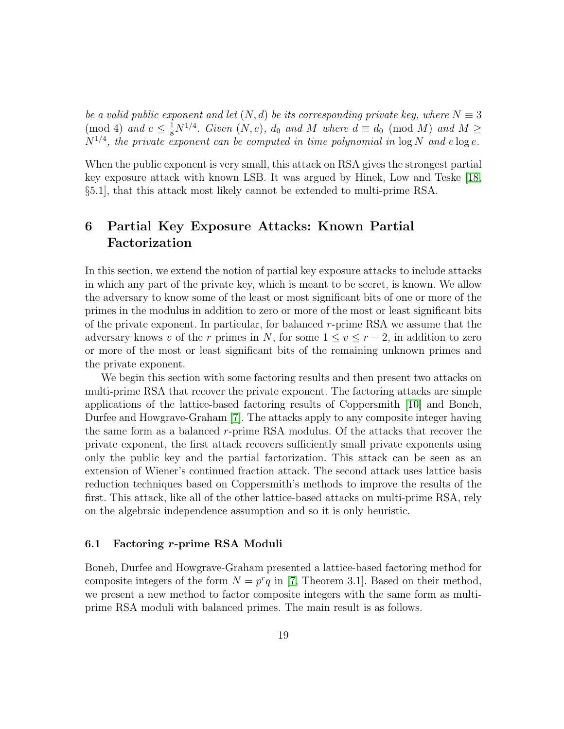be a valid public exponent and let  $(N, d)$  be its corresponding private key, where  $N \equiv 3$ (mod 4) and  $e \leq \frac{1}{8}N^{1/4}$ . Given  $(N, e)$ ,  $d_0$  and M where  $d \equiv d_0 \pmod{M}$  and  $M \geq$  $N^{1/4}$ , the private exponent can be computed in time polynomial in  $\log N$  and  $e \log e$ .

When the public exponent is very small, this attack on RSA gives the strongest partial key exposure attack with known LSB. It was argued by Hinek, Low and Teske [\[18,](#page-32-1) §5.1], that this attack most likely cannot be extended to multi-prime RSA.

# <span id="page-18-0"></span>6 Partial Key Exposure Attacks: Known Partial Factorization

In this section, we extend the notion of partial key exposure attacks to include attacks in which any part of the private key, which is meant to be secret, is known. We allow the adversary to know some of the least or most significant bits of one or more of the primes in the modulus in addition to zero or more of the most or least significant bits of the private exponent. In particular, for balanced r-prime RSA we assume that the adversary knows v of the r primes in N, for some  $1 \le v \le r-2$ , in addition to zero or more of the most or least significant bits of the remaining unknown primes and the private exponent.

We begin this section with some factoring results and then present two attacks on multi-prime RSA that recover the private exponent. The factoring attacks are simple applications of the lattice-based factoring results of Coppersmith [\[10\]](#page-31-2) and Boneh, Durfee and Howgrave-Graham [\[7\]](#page-31-15). The attacks apply to any composite integer having the same form as a balanced r-prime RSA modulus. Of the attacks that recover the private exponent, the first attack recovers sufficiently small private exponents using only the public key and the partial factorization. This attack can be seen as an extension of Wiener's continued fraction attack. The second attack uses lattice basis reduction techniques based on Coppersmith's methods to improve the results of the first. This attack, like all of the other lattice-based attacks on multi-prime RSA, rely on the algebraic independence assumption and so it is only heuristic.

#### 6.1 Factoring r-prime RSA Moduli

<span id="page-18-1"></span>Boneh, Durfee and Howgrave-Graham presented a lattice-based factoring method for composite integers of the form  $N = p^r q$  in [\[7,](#page-31-15) Theorem 3.1]. Based on their method, we present a new method to factor composite integers with the same form as multiprime RSA moduli with balanced primes. The main result is as follows.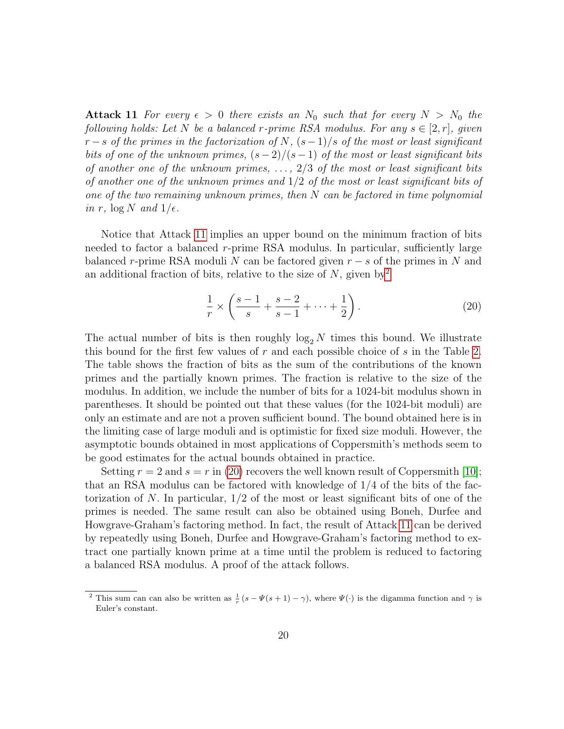**Attack 11** For every  $\epsilon > 0$  there exists an  $N_0$  such that for every  $N > N_0$  the following holds: Let N be a balanced r-prime RSA modulus. For any  $s \in [2, r]$ , given  $r - s$  of the primes in the factorization of N,  $(s-1)/s$  of the most or least significant bits of one of the unknown primes,  $(s-2)/(s-1)$  of the most or least significant bits of another one of the unknown primes,  $\ldots$ , 2/3 of the most or least significant bits of another one of the unknown primes and  $1/2$  of the most or least significant bits of one of the two remaining unknown primes, then  $N$  can be factored in time polynomial in r,  $\log N$  and  $1/\epsilon$ .

Notice that Attack [11](#page-18-1) implies an upper bound on the minimum fraction of bits needed to factor a balanced r-prime RSA modulus. In particular, sufficiently large balanced r-prime RSA moduli N can be factored given  $r - s$  of the primes in N and an additional fraction of bits, relative to the size of  $N$ , given by<sup>[2](#page-19-0)</sup>

<span id="page-19-1"></span>
$$
\frac{1}{r} \times \left( \frac{s-1}{s} + \frac{s-2}{s-1} + \dots + \frac{1}{2} \right). \tag{20}
$$

The actual number of bits is then roughly  $\log_2 N$  times this bound. We illustrate this bound for the first few values of r and each possible choice of s in the Table [2.](#page-20-0) The table shows the fraction of bits as the sum of the contributions of the known primes and the partially known primes. The fraction is relative to the size of the modulus. In addition, we include the number of bits for a 1024-bit modulus shown in parentheses. It should be pointed out that these values (for the 1024-bit moduli) are only an estimate and are not a proven sufficient bound. The bound obtained here is in the limiting case of large moduli and is optimistic for fixed size moduli. However, the asymptotic bounds obtained in most applications of Coppersmith's methods seem to be good estimates for the actual bounds obtained in practice.

Setting  $r = 2$  and  $s = r$  in [\(20\)](#page-19-1) recovers the well known result of Coppersmith [\[10\]](#page-31-2); that an RSA modulus can be factored with knowledge of 1/4 of the bits of the factorization of N. In particular,  $1/2$  of the most or least significant bits of one of the primes is needed. The same result can also be obtained using Boneh, Durfee and Howgrave-Graham's factoring method. In fact, the result of Attack [11](#page-18-1) can be derived by repeatedly using Boneh, Durfee and Howgrave-Graham's factoring method to extract one partially known prime at a time until the problem is reduced to factoring a balanced RSA modulus. A proof of the attack follows.

<span id="page-19-0"></span><sup>&</sup>lt;sup>2</sup> This sum can can also be written as  $\frac{1}{r}(s - \Psi(s + 1) - \gamma)$ , where  $\Psi(\cdot)$  is the digamma function and  $\gamma$  is Euler's constant.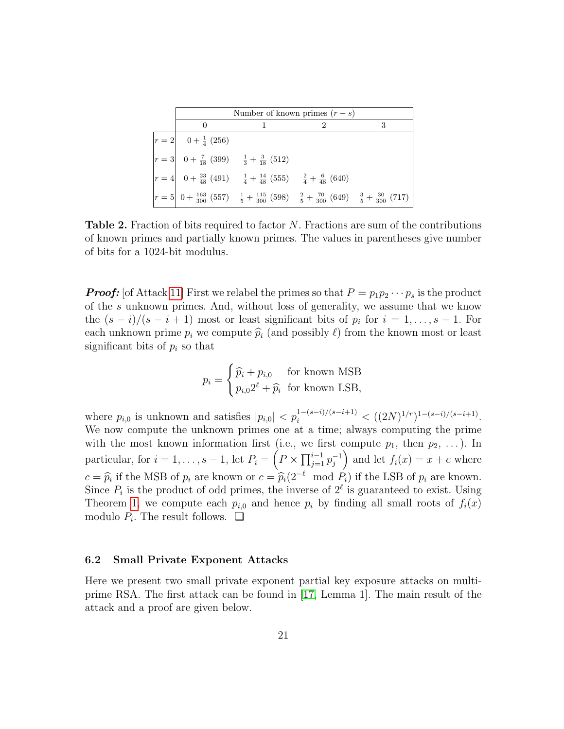| Number of known primes $(r-s)$                                        |                                                                                                            |                                                                                                                                                                          |   |  |  |  |
|-----------------------------------------------------------------------|------------------------------------------------------------------------------------------------------------|--------------------------------------------------------------------------------------------------------------------------------------------------------------------------|---|--|--|--|
| $\Omega$                                                              |                                                                                                            |                                                                                                                                                                          | 3 |  |  |  |
| $ r=2 $ 0 + $\frac{1}{4}$ (256)                                       |                                                                                                            |                                                                                                                                                                          |   |  |  |  |
| $ r = 3 $ 0 + $\frac{7}{18}$ (399) $\frac{1}{3} + \frac{3}{18}$ (512) |                                                                                                            |                                                                                                                                                                          |   |  |  |  |
|                                                                       | $ r = 4 $ 0 + $\frac{23}{48}$ (491) $\frac{1}{4} + \frac{14}{48}$ (555) $\frac{2}{4} + \frac{6}{48}$ (640) |                                                                                                                                                                          |   |  |  |  |
|                                                                       |                                                                                                            | $\left  r = 5 \right $ 0 + $\frac{163}{300}$ (557) $\frac{1}{5}$ + $\frac{115}{300}$ (598) $\frac{2}{5}$ + $\frac{70}{300}$ (649) $\frac{3}{5}$ + $\frac{30}{300}$ (717) |   |  |  |  |

<span id="page-20-0"></span>Table 2. Fraction of bits required to factor N. Fractions are sum of the contributions of known primes and partially known primes. The values in parentheses give number of bits for a 1024-bit modulus.

**Proof:** [of Attack [11\]](#page-18-1) First we relabel the primes so that  $P = p_1p_2\cdots p_s$  is the product of the s unknown primes. And, without loss of generality, we assume that we know the  $(s-i)/(s-i+1)$  most or least significant bits of  $p_i$  for  $i=1,\ldots,s-1$ . For each unknown prime  $p_i$  we compute  $\widehat{p}_i$  (and possibly  $\ell$ ) from the known most or least significant bits of  $p_i$  so that

$$
p_i = \begin{cases} \hat{p}_i + p_{i,0} & \text{for known MSB} \\ p_{i,0}2^\ell + \hat{p}_i & \text{for known LSB,} \end{cases}
$$

where  $p_{i,0}$  is unknown and satisfies  $|p_{i,0}| < p_i^{1-(s-i)/(s-i+1)} < ((2N)^{1/r})^{1-(s-i)/(s-i+1)}$ . We now compute the unknown primes one at a time; always computing the prime with the most known information first (i.e., we first compute  $p_1$ , then  $p_2, \ldots$ ). In particular, for  $i = 1, \ldots, s - 1$ , let  $P_i = \left( P \times \prod_{j=1}^{i-1} p_j^{-1} \right)$  $j^{-1}$  and let  $f_i(x) = x + c$  where  $c = \hat{p}_i$  if the MSB of  $p_i$  are known or  $c = \hat{p}_i(2^{-\ell} \mod P_i)$  if the LSB of  $p_i$  are known.<br>Since  $P_i$  is the product of odd primes, the inverse of  $2^{\ell}$  is guaranteed to exist. Using Since  $P_i$  is the product of odd primes, the inverse of  $2^{\ell}$  is guaranteed to exist. Using Theorem [1,](#page-3-0) we compute each  $p_{i,0}$  and hence  $p_i$  by finding all small roots of  $f_i(x)$ modulo  $P_i$ . The result follows.  $\Box$ 

#### 6.2 Small Private Exponent Attacks

<span id="page-20-1"></span>Here we present two small private exponent partial key exposure attacks on multiprime RSA. The first attack can be found in [\[17,](#page-31-7) Lemma 1]. The main result of the attack and a proof are given below.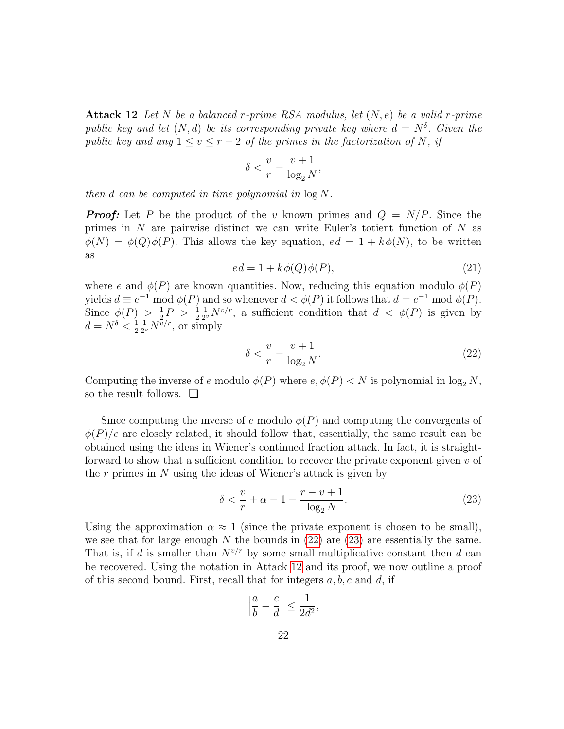**Attack 12** Let N be a balanced r-prime RSA modulus, let  $(N, e)$  be a valid r-prime public key and let  $(N, d)$  be its corresponding private key where  $d = N^{\delta}$ . Given the public key and any  $1 \le v \le r-2$  of the primes in the factorization of N, if

$$
\delta < \frac{v}{r} - \frac{v+1}{\log_2 N},
$$

then d can be computed in time polynomial in  $\log N$ .

**Proof:** Let P be the product of the v known primes and  $Q = N/P$ . Since the primes in N are pairwise distinct we can write Euler's totient function of N as  $\phi(N) = \phi(Q)\phi(P)$ . This allows the key equation,  $ed = 1 + k\phi(N)$ , to be written as

$$
ed = 1 + k\phi(Q)\phi(P),\tag{21}
$$

where e and  $\phi(P)$  are known quantities. Now, reducing this equation modulo  $\phi(P)$ yields  $d \equiv e^{-1} \mod \phi(P)$  and so whenever  $d < \phi(P)$  it follows that  $d = e^{-1} \mod \phi(P)$ . Since  $\phi(P) > \frac{1}{2}$  $\frac{1}{2}P > \frac{1}{2}$ 1  $\frac{1}{2^v}N^{v/r}$ , a sufficient condition that  $d < \phi(P)$  is given by  $d = N^{\delta} < \frac{1}{2}$ 2 1  $\frac{1}{2^v}N^{\overline{v}/r}$ , or simply

<span id="page-21-0"></span>
$$
\delta < \frac{v}{r} - \frac{v+1}{\log_2 N}.\tag{22}
$$

Computing the inverse of e modulo  $\phi(P)$  where  $e, \phi(P) < N$  is polynomial in  $\log_2 N$ , so the result follows. ❏

Since computing the inverse of e modulo  $\phi(P)$  and computing the convergents of  $\phi(P)/e$  are closely related, it should follow that, essentially, the same result can be obtained using the ideas in Wiener's continued fraction attack. In fact, it is straightforward to show that a sufficient condition to recover the private exponent given  $v$  of the r primes in N using the ideas of Wiener's attack is given by

<span id="page-21-1"></span>
$$
\delta < \frac{v}{r} + \alpha - 1 - \frac{r - v + 1}{\log_2 N}.\tag{23}
$$

Using the approximation  $\alpha \approx 1$  (since the private exponent is chosen to be small), we see that for large enough N the bounds in  $(22)$  are  $(23)$  are essentially the same. That is, if d is smaller than  $N^{v/r}$  by some small multiplicative constant then d can be recovered. Using the notation in Attack [12](#page-20-1) and its proof, we now outline a proof of this second bound. First, recall that for integers  $a, b, c$  and  $d$ , if

$$
\left|\frac{a}{b} - \frac{c}{d}\right| \le \frac{1}{2d^2},
$$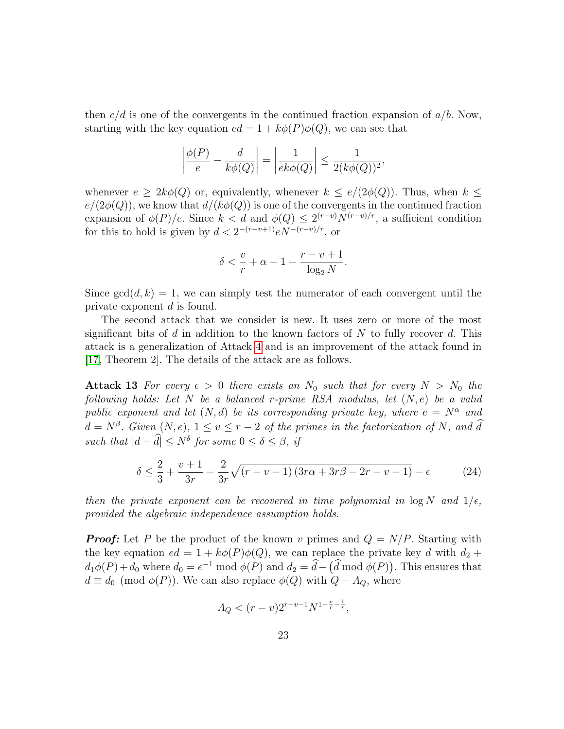then  $c/d$  is one of the convergents in the continued fraction expansion of  $a/b$ . Now, starting with the key equation  $ed = 1 + k\phi(P)\phi(Q)$ , we can see that

$$
\left|\frac{\phi(P)}{e} - \frac{d}{k\phi(Q)}\right| = \left|\frac{1}{ek\phi(Q)}\right| \le \frac{1}{2(k\phi(Q))^2},
$$

whenever  $e \geq 2k\phi(Q)$  or, equivalently, whenever  $k \leq e/(2\phi(Q))$ . Thus, when  $k \leq$  $e/(2\phi(Q))$ , we know that  $d/(k\phi(Q))$  is one of the convergents in the continued fraction expansion of  $\phi(P)/e$ . Since  $k < d$  and  $\phi(Q) \leq 2^{(r-v)}N^{(r-v)/r}$ , a sufficient condition for this to hold is given by  $d < 2^{-(r-v+1)}e N^{-(r-v)/r}$ , or

$$
\delta < \frac{v}{r} + \alpha - 1 - \frac{r - v + 1}{\log_2 N}.
$$

Since  $gcd(d, k) = 1$ , we can simply test the numerator of each convergent until the private exponent d is found.

The second attack that we consider is new. It uses zero or more of the most significant bits of d in addition to the known factors of  $N$  to fully recover d. This attack is a generalization of Attack [4](#page-8-2) and is an improvement of the attack found in [\[17,](#page-31-7) Theorem 2]. The details of the attack are as follows.

<span id="page-22-0"></span>Attack 13 For every  $\epsilon > 0$  there exists an  $N_0$  such that for every  $N > N_0$  the following holds: Let N be a balanced r-prime RSA modulus, let  $(N, e)$  be a valid public exponent and let  $(N, d)$  be its corresponding private key, where  $e = N^{\alpha}$  and  $d = N^{\beta}$ . Given  $(N, e)$ ,  $1 \le v \le r - 2$  of the primes in the factorization of N, and d such that  $|d - \tilde{d}| \leq N^{\delta}$  for some  $0 \leq \delta \leq \beta$ , if

$$
\delta \le \frac{2}{3} + \frac{v+1}{3r} - \frac{2}{3r}\sqrt{(r-v-1)(3r\alpha + 3r\beta - 2r - v - 1)} - \epsilon
$$
 (24)

then the private exponent can be recovered in time polynomial in  $\log N$  and  $1/\epsilon$ , provided the algebraic independence assumption holds.

**Proof:** Let P be the product of the known v primes and  $Q = N/P$ . Starting with the key equation  $ed = 1 + k\phi(P)\phi(Q)$ , we can replace the private key d with  $d_2$  +  $d_1\phi(P) + d_0$  where  $d_0 = e^{-1} \mod \phi(P)$  and  $d_2 = \widetilde{d} - (\widetilde{d} \mod \phi(P))$ . This ensures that  $d \equiv d_0 \pmod{\phi(P)}$ . We can also replace  $\phi(Q)$  with  $Q - A_Q$ , where

$$
A_Q < (r - v)2^{r-v-1}N^{1-\frac{v}{r}-\frac{1}{r}},
$$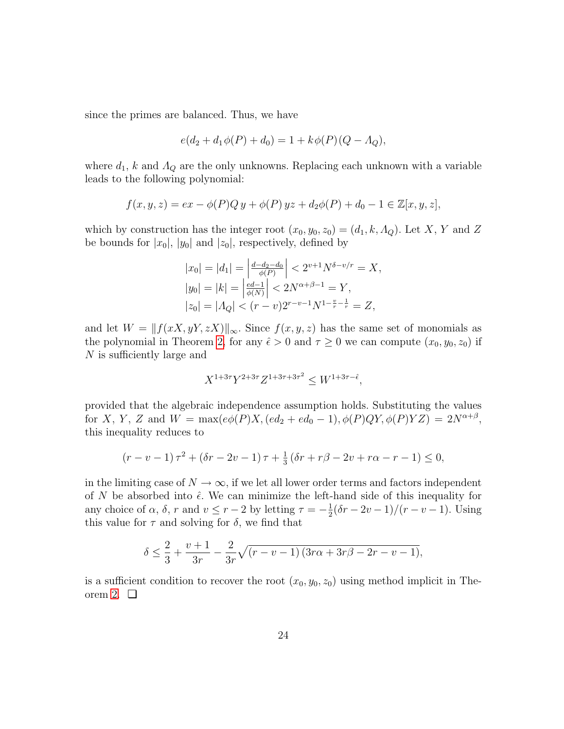since the primes are balanced. Thus, we have

$$
e(d_2 + d_1 \phi(P) + d_0) = 1 + k\phi(P)(Q - \Lambda_Q),
$$

where  $d_1$ , k and  $\Lambda_Q$  are the only unknowns. Replacing each unknown with a variable leads to the following polynomial:

$$
f(x, y, z) = ex - \phi(P)Q y + \phi(P) yz + d_2\phi(P) + d_0 - 1 \in \mathbb{Z}[x, y, z],
$$

which by construction has the integer root  $(x_0, y_0, z_0) = (d_1, k, \Lambda_Q)$ . Let X, Y and Z be bounds for  $|x_0|$ ,  $|y_0|$  and  $|z_0|$ , respectively, defined by

$$
|x_0| = |d_1| = \left| \frac{d - d_2 - d_0}{\phi(P)} \right| < 2^{v+1} N^{\delta - v/r} = X,
$$
\n
$$
|y_0| = |k| = \left| \frac{ed - 1}{\phi(N)} \right| < 2N^{\alpha + \beta - 1} = Y,
$$
\n
$$
|z_0| = |A_Q| < (r - v)2^{r - v - 1} N^{1 - \frac{v}{r} - \frac{1}{r}} = Z,
$$

and let  $W = ||f(xX, yY, zX)||_{\infty}$ . Since  $f(x, y, z)$  has the same set of monomials as the polynomial in Theorem [2,](#page-4-0) for any  $\hat{\epsilon} > 0$  and  $\tau \geq 0$  we can compute  $(x_0, y_0, z_0)$  if N is sufficiently large and

$$
X^{1+3\tau}Y^{2+3\tau}Z^{1+3\tau+3\tau^2}\le W^{1+3\tau-\hat\epsilon},
$$

provided that the algebraic independence assumption holds. Substituting the values for X, Y, Z and  $W = \max(e\phi(P)X, (ed_2 + ed_0 - 1), \phi(P)QY, \phi(P)YZ) = 2N^{\alpha+\beta}$ , this inequality reduces to

$$
(r - v - 1)\tau^{2} + (\delta r - 2v - 1)\tau + \frac{1}{3}(\delta r + r\beta - 2v + r\alpha - r - 1) \le 0,
$$

in the limiting case of  $N \to \infty$ , if we let all lower order terms and factors independent of N be absorbed into  $\hat{\epsilon}$ . We can minimize the left-hand side of this inequality for any choice of  $\alpha$ ,  $\delta$ , r and  $v \leq r-2$  by letting  $\tau = -\frac{1}{2}$  $\frac{1}{2}(\delta r - 2v - 1)/(r - v - 1)$ . Using this value for  $\tau$  and solving for  $\delta$ , we find that

$$
\delta \le \frac{2}{3} + \frac{v+1}{3r} - \frac{2}{3r}\sqrt{(r-v-1)(3r\alpha + 3r\beta - 2r - v - 1)},
$$

is a sufficient condition to recover the root  $(x_0, y_0, z_0)$  using method implicit in Theorem [2.](#page-4-0) ❏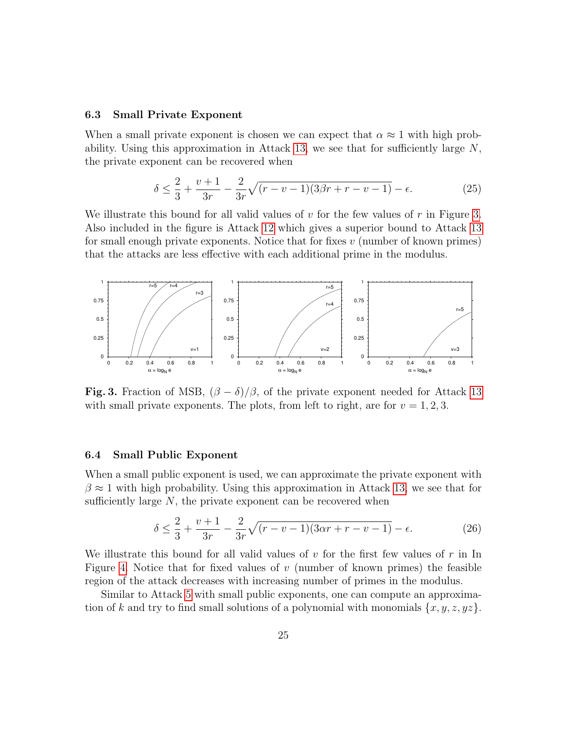#### 6.3 Small Private Exponent

When a small private exponent is chosen we can expect that  $\alpha \approx 1$  with high prob-ability. Using this approximation in Attack [13,](#page-22-0) we see that for sufficiently large  $N$ , the private exponent can be recovered when

$$
\delta \le \frac{2}{3} + \frac{v+1}{3r} - \frac{2}{3r}\sqrt{(r-v-1)(3\beta r + r - v - 1)} - \epsilon.
$$
 (25)

We illustrate this bound for all valid values of  $v$  for the few values of  $r$  in Figure [3.](#page-24-0) Also included in the figure is Attack [12](#page-20-1) which gives a superior bound to Attack [13](#page-22-0) for small enough private exponents. Notice that for fixes  $v$  (number of known primes) that the attacks are less effective with each additional prime in the modulus.



<span id="page-24-0"></span>Fig. 3. Fraction of MSB,  $(\beta - \delta)/\beta$ , of the private exponent needed for Attack [13](#page-22-0) with small private exponents. The plots, from left to right, are for  $v = 1, 2, 3$ .

### 6.4 Small Public Exponent

When a small public exponent is used, we can approximate the private exponent with  $\beta \approx 1$  with high probability. Using this approximation in Attack [13,](#page-22-0) we see that for sufficiently large  $N$ , the private exponent can be recovered when

$$
\delta \le \frac{2}{3} + \frac{v+1}{3r} - \frac{2}{3r}\sqrt{(r-v-1)(3\alpha r + r - v - 1)} - \epsilon.
$$
 (26)

We illustrate this bound for all valid values of  $v$  for the first few values of  $r$  in In Figure [4.](#page-25-1) Notice that for fixed values of  $v$  (number of known primes) the feasible region of the attack decreases with increasing number of primes in the modulus.

Similar to Attack [5](#page-9-0) with small public exponents, one can compute an approximation of k and try to find small solutions of a polynomial with monomials  $\{x, y, z, yz\}$ .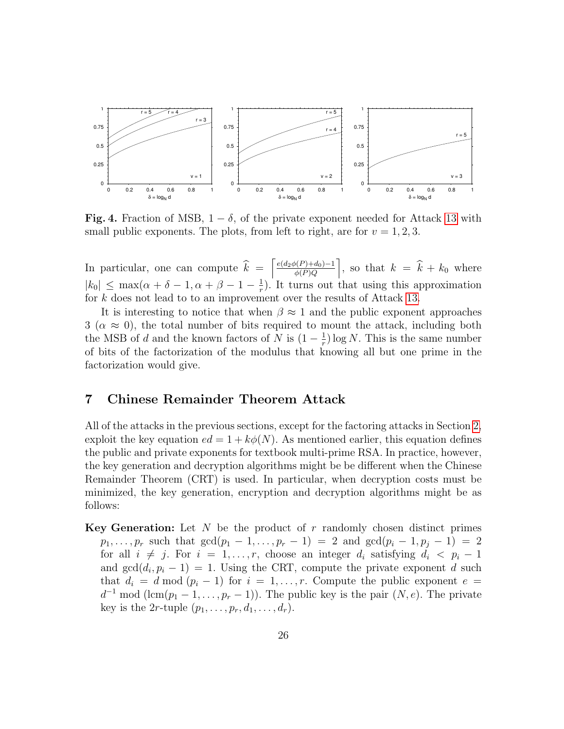

<span id="page-25-1"></span>**Fig. 4.** Fraction of MSB,  $1 - \delta$ , of the private exponent needed for Attack [13](#page-22-0) with small public exponents. The plots, from left to right, are for  $v = 1, 2, 3$ .

In particular, one can compute  $\hat{k} = \begin{bmatrix} \frac{e(d_2\phi(P)+d_0)-1}{\phi(P)Q} \end{bmatrix}$  $\left(\frac{\phi(P)+d_0}{\phi(P)Q}\right)$ , so that  $k = \hat{k} + k_0$  where  $|k_0| \leq \max(\alpha + \delta - 1, \alpha + \beta - 1 - \frac{1}{r})$  $\frac{1}{r}$ ). It turns out that using this approximation for k does not lead to to an improvement over the results of Attack [13.](#page-22-0)

It is interesting to notice that when  $\beta \approx 1$  and the public exponent approaches  $3 \ (\alpha \approx 0)$ , the total number of bits required to mount the attack, including both the MSB of d and the known factors of N is  $(1 - \frac{1}{r})$  $(\frac{1}{r})$  log N. This is the same number of bits of the factorization of the modulus that knowing all but one prime in the factorization would give.

# <span id="page-25-0"></span>7 Chinese Remainder Theorem Attack

All of the attacks in the previous sections, except for the factoring attacks in Section [2,](#page-5-0) exploit the key equation  $ed = 1 + k\phi(N)$ . As mentioned earlier, this equation defines the public and private exponents for textbook multi-prime RSA. In practice, however, the key generation and decryption algorithms might be be different when the Chinese Remainder Theorem (CRT) is used. In particular, when decryption costs must be minimized, the key generation, encryption and decryption algorithms might be as follows:

**Key Generation:** Let N be the product of r randomly chosen distinct primes  $p_1, \ldots, p_r$  such that  $gcd(p_1 - 1, \ldots, p_r - 1) = 2$  and  $gcd(p_i - 1, p_j - 1) = 2$ for all  $i \neq j$ . For  $i = 1, \ldots, r$ , choose an integer  $d_i$  satisfying  $d_i < p_i - 1$ and  $gcd(d_i, p_i - 1) = 1$ . Using the CRT, compute the private exponent d such that  $d_i = d \mod (p_i - 1)$  for  $i = 1, \ldots, r$ . Compute the public exponent  $e =$  $d^{-1} \mod (\text{lcm}(p_1-1,\ldots,p_r-1)).$  The public key is the pair  $(N,e)$ . The private key is the 2r-tuple  $(p_1, \ldots, p_r, d_1, \ldots, d_r)$ .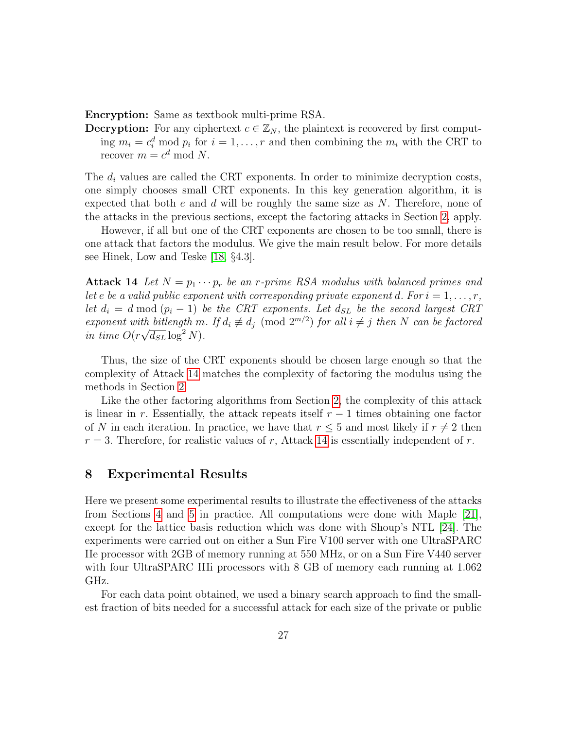Encryption: Same as textbook multi-prime RSA.

**Decryption:** For any ciphertext  $c \in \mathbb{Z}_N$ , the plaintext is recovered by first computing  $m_i = c_i^d \mod p_i$  for  $i = 1, \ldots, r$  and then combining the  $m_i$  with the CRT to recover  $m = c^d \mod N$ .

The  $d_i$  values are called the CRT exponents. In order to minimize decryption costs, one simply chooses small CRT exponents. In this key generation algorithm, it is expected that both e and d will be roughly the same size as  $N$ . Therefore, none of the attacks in the previous sections, except the factoring attacks in Section [2,](#page-5-0) apply.

However, if all but one of the CRT exponents are chosen to be too small, there is one attack that factors the modulus. We give the main result below. For more details see Hinek, Low and Teske [\[18,](#page-32-1) §4.3].

<span id="page-26-1"></span>Attack 14 Let  $N = p_1 \cdots p_r$  be an r-prime RSA modulus with balanced primes and let e be a valid public exponent with corresponding private exponent d. For  $i = 1, \ldots, r$ , let  $d_i = d \mod (p_i - 1)$  be the CRT exponents. Let  $d_{SL}$  be the second largest CRT exponent with bitlength m. If  $d_i \not\equiv d_j \pmod{2^{m/2}}$  for all  $i \neq j$  then N can be factored in time  $O(r\sqrt{d_{SL}}\log^2 N)$ .

Thus, the size of the CRT exponents should be chosen large enough so that the complexity of Attack [14](#page-26-1) matches the complexity of factoring the modulus using the methods in Section [2.](#page-5-0)

Like the other factoring algorithms from Section [2,](#page-5-0) the complexity of this attack is linear in r. Essentially, the attack repeats itself  $r - 1$  times obtaining one factor of N in each iteration. In practice, we have that  $r \leq 5$  and most likely if  $r \neq 2$  then  $r = 3$ . Therefore, for realistic values of r, Attack [14](#page-26-1) is essentially independent of r.

### <span id="page-26-0"></span>8 Experimental Results

Here we present some experimental results to illustrate the effectiveness of the attacks from Sections [4](#page-8-0) and [5](#page-15-0) in practice. All computations were done with Maple [\[21\]](#page-32-8), except for the lattice basis reduction which was done with Shoup's NTL [\[24\]](#page-32-9). The experiments were carried out on either a Sun Fire V100 server with one UltraSPARC IIe processor with 2GB of memory running at 550 MHz, or on a Sun Fire V440 server with four UltraSPARC IIIi processors with 8 GB of memory each running at 1.062 GHz.

For each data point obtained, we used a binary search approach to find the smallest fraction of bits needed for a successful attack for each size of the private or public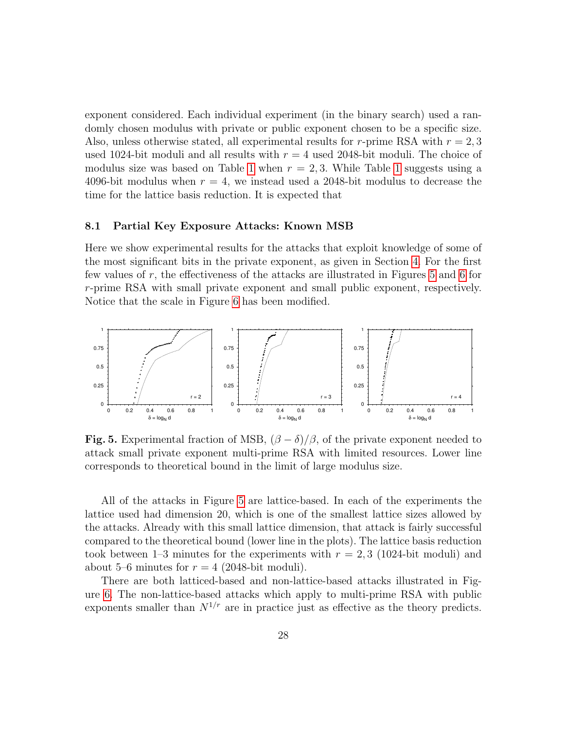exponent considered. Each individual experiment (in the binary search) used a randomly chosen modulus with private or public exponent chosen to be a specific size. Also, unless otherwise stated, all experimental results for r-prime RSA with  $r = 2, 3$ used 1024-bit moduli and all results with  $r = 4$  used 2048-bit moduli. The choice of modulus size was based on Table [1](#page-6-1) when  $r = 2, 3$ . While Table 1 suggests using a 4096-bit modulus when  $r = 4$ , we instead used a 2048-bit modulus to decrease the time for the lattice basis reduction. It is expected that

#### 8.1 Partial Key Exposure Attacks: Known MSB

Here we show experimental results for the attacks that exploit knowledge of some of the most significant bits in the private exponent, as given in Section [4.](#page-8-0) For the first few values of r, the effectiveness of the attacks are illustrated in Figures  $5$  and  $6$  for r-prime RSA with small private exponent and small public exponent, respectively. Notice that the scale in Figure [6](#page-28-0) has been modified.



<span id="page-27-0"></span>Fig. 5. Experimental fraction of MSB,  $(\beta - \delta)/\beta$ , of the private exponent needed to attack small private exponent multi-prime RSA with limited resources. Lower line corresponds to theoretical bound in the limit of large modulus size.

All of the attacks in Figure [5](#page-27-0) are lattice-based. In each of the experiments the lattice used had dimension 20, which is one of the smallest lattice sizes allowed by the attacks. Already with this small lattice dimension, that attack is fairly successful compared to the theoretical bound (lower line in the plots). The lattice basis reduction took between 1–3 minutes for the experiments with  $r = 2, 3$  (1024-bit moduli) and about 5–6 minutes for  $r = 4$  (2048-bit moduli).

There are both latticed-based and non-lattice-based attacks illustrated in Figure [6.](#page-28-0) The non-lattice-based attacks which apply to multi-prime RSA with public exponents smaller than  $N^{1/r}$  are in practice just as effective as the theory predicts.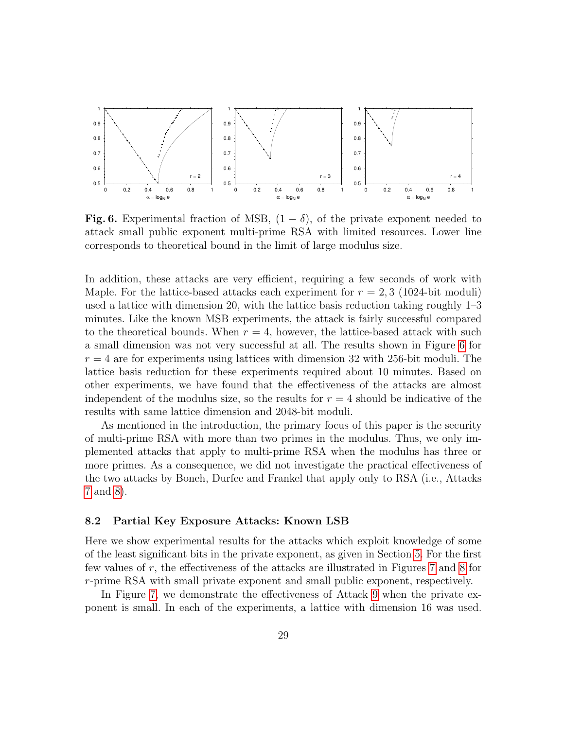

<span id="page-28-0"></span>**Fig. 6.** Experimental fraction of MSB,  $(1 - \delta)$ , of the private exponent needed to attack small public exponent multi-prime RSA with limited resources. Lower line corresponds to theoretical bound in the limit of large modulus size.

In addition, these attacks are very efficient, requiring a few seconds of work with Maple. For the lattice-based attacks each experiment for  $r = 2, 3$  (1024-bit moduli) used a lattice with dimension 20, with the lattice basis reduction taking roughly 1–3 minutes. Like the known MSB experiments, the attack is fairly successful compared to the theoretical bounds. When  $r = 4$ , however, the lattice-based attack with such a small dimension was not very successful at all. The results shown in Figure [6](#page-28-0) for  $r = 4$  are for experiments using lattices with dimension 32 with 256-bit moduli. The lattice basis reduction for these experiments required about 10 minutes. Based on other experiments, we have found that the effectiveness of the attacks are almost independent of the modulus size, so the results for  $r = 4$  should be indicative of the results with same lattice dimension and 2048-bit moduli.

As mentioned in the introduction, the primary focus of this paper is the security of multi-prime RSA with more than two primes in the modulus. Thus, we only implemented attacks that apply to multi-prime RSA when the modulus has three or more primes. As a consequence, we did not investigate the practical effectiveness of the two attacks by Boneh, Durfee and Frankel that apply only to RSA (i.e., Attacks [7](#page-14-1) and [8\)](#page-15-2).

#### 8.2 Partial Key Exposure Attacks: Known LSB

Here we show experimental results for the attacks which exploit knowledge of some of the least significant bits in the private exponent, as given in Section [5.](#page-15-0) For the first few values of r, the effectiveness of the attacks are illustrated in Figures [7](#page-29-0) and [8](#page-29-1) for r-prime RSA with small private exponent and small public exponent, respectively.

In Figure [7,](#page-29-0) we demonstrate the effectiveness of Attack [9](#page-15-1) when the private exponent is small. In each of the experiments, a lattice with dimension 16 was used.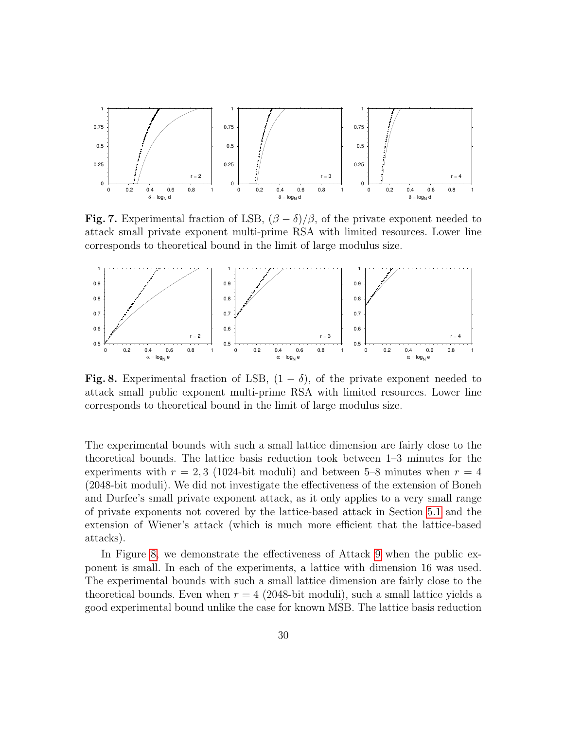

<span id="page-29-0"></span>**Fig. 7.** Experimental fraction of LSB,  $(\beta - \delta)/\beta$ , of the private exponent needed to attack small private exponent multi-prime RSA with limited resources. Lower line corresponds to theoretical bound in the limit of large modulus size.



<span id="page-29-1"></span>Fig. 8. Experimental fraction of LSB,  $(1 - \delta)$ , of the private exponent needed to attack small public exponent multi-prime RSA with limited resources. Lower line corresponds to theoretical bound in the limit of large modulus size.

The experimental bounds with such a small lattice dimension are fairly close to the theoretical bounds. The lattice basis reduction took between 1–3 minutes for the experiments with  $r = 2,3$  (1024-bit moduli) and between 5–8 minutes when  $r = 4$ (2048-bit moduli). We did not investigate the effectiveness of the extension of Boneh and Durfee's small private exponent attack, as it only applies to a very small range of private exponents not covered by the lattice-based attack in Section [5.1](#page-16-0) and the extension of Wiener's attack (which is much more efficient that the lattice-based attacks).

In Figure [8,](#page-29-1) we demonstrate the effectiveness of Attack [9](#page-15-1) when the public exponent is small. In each of the experiments, a lattice with dimension 16 was used. The experimental bounds with such a small lattice dimension are fairly close to the theoretical bounds. Even when  $r = 4$  (2048-bit moduli), such a small lattice yields a good experimental bound unlike the case for known MSB. The lattice basis reduction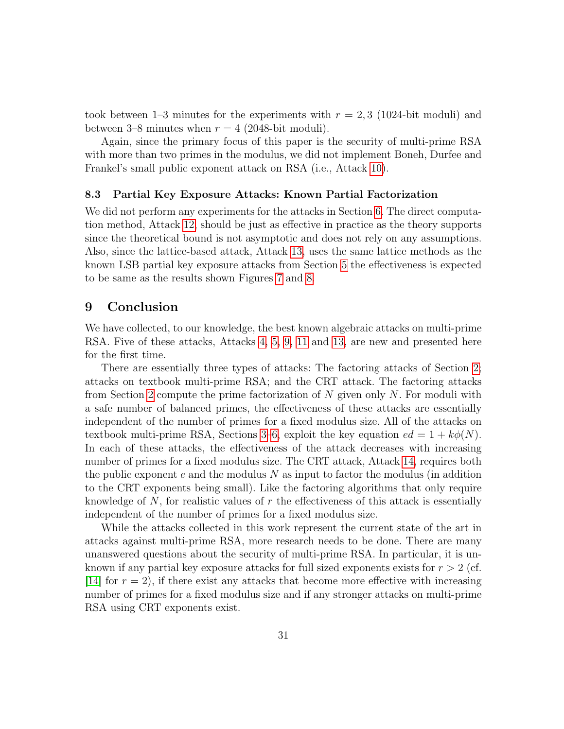took between 1–3 minutes for the experiments with  $r = 2, 3$  (1024-bit moduli) and between 3–8 minutes when  $r = 4$  (2048-bit moduli).

Again, since the primary focus of this paper is the security of multi-prime RSA with more than two primes in the modulus, we did not implement Boneh, Durfee and Frankel's small public exponent attack on RSA (i.e., Attack [10\)](#page-17-1).

#### 8.3 Partial Key Exposure Attacks: Known Partial Factorization

We did not perform any experiments for the attacks in Section [6.](#page-18-0) The direct computation method, Attack [12,](#page-20-1) should be just as effective in practice as the theory supports since the theoretical bound is not asymptotic and does not rely on any assumptions. Also, since the lattice-based attack, Attack [13,](#page-22-0) uses the same lattice methods as the known LSB partial key exposure attacks from Section [5](#page-15-0) the effectiveness is expected to be same as the results shown Figures [7](#page-29-0) and [8.](#page-29-1)

### <span id="page-30-0"></span>9 Conclusion

We have collected, to our knowledge, the best known algebraic attacks on multi-prime RSA. Five of these attacks, Attacks [4,](#page-8-2) [5,](#page-9-0) [9,](#page-15-1) [11](#page-18-1) and [13,](#page-22-0) are new and presented here for the first time.

There are essentially three types of attacks: The factoring attacks of Section [2;](#page-5-0) attacks on textbook multi-prime RSA; and the CRT attack. The factoring attacks from Section [2](#page-5-0) compute the prime factorization of  $N$  given only  $N$ . For moduli with a safe number of balanced primes, the effectiveness of these attacks are essentially independent of the number of primes for a fixed modulus size. All of the attacks on textbook multi-prime RSA, Sections [3](#page-6-0)[–6,](#page-18-0) exploit the key equation  $ed = 1 + k\phi(N)$ . In each of these attacks, the effectiveness of the attack decreases with increasing number of primes for a fixed modulus size. The CRT attack, Attack [14,](#page-26-1) requires both the public exponent  $e$  and the modulus  $N$  as input to factor the modulus (in addition to the CRT exponents being small). Like the factoring algorithms that only require knowledge of  $N$ , for realistic values of  $r$  the effectiveness of this attack is essentially independent of the number of primes for a fixed modulus size.

While the attacks collected in this work represent the current state of the art in attacks against multi-prime RSA, more research needs to be done. There are many unanswered questions about the security of multi-prime RSA. In particular, it is unknown if any partial key exposure attacks for full sized exponents exists for  $r > 2$  (cf. [\[14\]](#page-31-1) for  $r = 2$ ), if there exist any attacks that become more effective with increasing number of primes for a fixed modulus size and if any stronger attacks on multi-prime RSA using CRT exponents exist.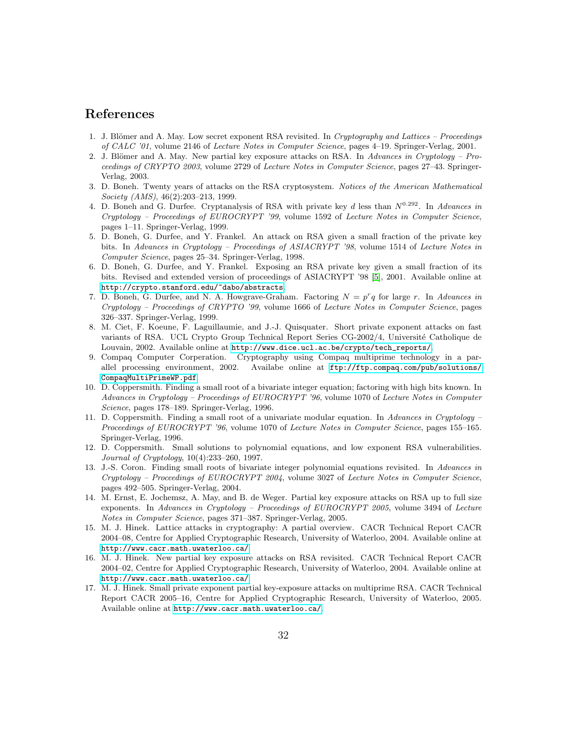## References

- <span id="page-31-11"></span>1. J. Blömer and A. May. Low secret exponent RSA revisited. In Cryptography and Lattices – Proceedings of CALC '01, volume 2146 of Lecture Notes in Computer Science, pages 4–19. Springer-Verlag, 2001.
- <span id="page-31-14"></span>2. J. Blömer and A. May. New partial key exposure attacks on RSA. In Advances in Cryptology – Proceedings of CRYPTO 2003, volume 2729 of Lecture Notes in Computer Science, pages 27–43. Springer-Verlag, 2003.
- <span id="page-31-0"></span>3. D. Boneh. Twenty years of attacks on the RSA cryptosystem. Notices of the American Mathematical Society (AMS), 46(2):203–213, 1999.
- <span id="page-31-6"></span>4. D. Boneh and G. Durfee. Cryptanalysis of RSA with private key d less than  $N^{0.292}$ . In Advances in Cryptology – Proceedings of EUROCRYPT '99, volume 1592 of Lecture Notes in Computer Science, pages 1–11. Springer-Verlag, 1999.
- <span id="page-31-16"></span>5. D. Boneh, G. Durfee, and Y. Frankel. An attack on RSA given a small fraction of the private key bits. In Advances in Cryptology – Proceedings of ASIACRYPT '98, volume 1514 of Lecture Notes in Computer Science, pages 25–34. Springer-Verlag, 1998.
- <span id="page-31-13"></span>6. D. Boneh, G. Durfee, and Y. Frankel. Exposing an RSA private key given a small fraction of its bits. Revised and extended version of proceedings of ASIACRYPT '98 [\[5\]](#page-31-16), 2001. Available online at <http://crypto.stanford.edu/~dabo/abstracts>.
- <span id="page-31-15"></span>7. D. Boneh, G. Durfee, and N. A. Howgrave-Graham. Factoring  $N = p^r q$  for large r. In Advances in Cryptology – Proceedings of CRYPTO '99, volume 1666 of Lecture Notes in Computer Science, pages 326–337. Springer-Verlag, 1999.
- <span id="page-31-10"></span>8. M. Ciet, F. Koeune, F. Laguillaumie, and J.-J. Quisquater. Short private exponent attacks on fast variants of RSA. UCL Crypto Group Technical Report Series CG-2002/4, Université Catholique de Louvain, 2002. Available online at [http://www.dice.ucl.ac.be/crypto/tech\\_reports/](http://www.dice.ucl.ac.be/crypto/tech_reports/).
- <span id="page-31-9"></span>9. Compaq Computer Corperation. Cryptography using Compaq multiprime technology in a parallel processing environment, 2002. Availabe online at [ftp://ftp.compaq.com/pub/solutions/](ftp://ftp.compaq.com/pub/solutions/CompaqMultiPrimeWP.pdf) [CompaqMultiPrimeWP.pdf](ftp://ftp.compaq.com/pub/solutions/CompaqMultiPrimeWP.pdf).
- <span id="page-31-2"></span>10. D. Coppersmith. Finding a small root of a bivariate integer equation; factoring with high bits known. In Advances in Cryptology – Proceedings of EUROCRYPT '96, volume 1070 of Lecture Notes in Computer Science, pages 178–189. Springer-Verlag, 1996.
- <span id="page-31-3"></span>11. D. Coppersmith. Finding a small root of a univariate modular equation. In Advances in Cryptology – Proceedings of EUROCRYPT '96, volume 1070 of Lecture Notes in Computer Science, pages 155–165. Springer-Verlag, 1996.
- <span id="page-31-4"></span>12. D. Coppersmith. Small solutions to polynomial equations, and low exponent RSA vulnerabilities. Journal of Cryptology, 10(4):233–260, 1997.
- <span id="page-31-5"></span>13. J.-S. Coron. Finding small roots of bivariate integer polynomial equations revisited. In Advances in Cryptology – Proceedings of EUROCRYPT 2004, volume 3027 of Lecture Notes in Computer Science, pages 492–505. Springer-Verlag, 2004.
- <span id="page-31-1"></span>14. M. Ernst, E. Jochemsz, A. May, and B. de Weger. Partial key exposure attacks on RSA up to full size exponents. In Advances in Cryptology – Proceedings of EUROCRYPT 2005, volume 3494 of Lecture Notes in Computer Science, pages 371–387. Springer-Verlag, 2005.
- <span id="page-31-8"></span>15. M. J. Hinek. Lattice attacks in cryptography: A partial overview. CACR Technical Report CACR 2004–08, Centre for Applied Cryptographic Research, University of Waterloo, 2004. Available online at <http://www.cacr.math.uwaterloo.ca/>.
- <span id="page-31-12"></span>16. M. J. Hinek. New partial key exposure attacks on RSA revisited. CACR Technical Report CACR 2004–02, Centre for Applied Cryptographic Research, University of Waterloo, 2004. Available online at <http://www.cacr.math.uwaterloo.ca/>.
- <span id="page-31-7"></span>17. M. J. Hinek. Small private exponent partial key-exposure attacks on multiprime RSA. CACR Technical Report CACR 2005–16, Centre for Applied Cryptographic Research, University of Waterloo, 2005. Available online at <http://www.cacr.math.uwaterloo.ca/>.